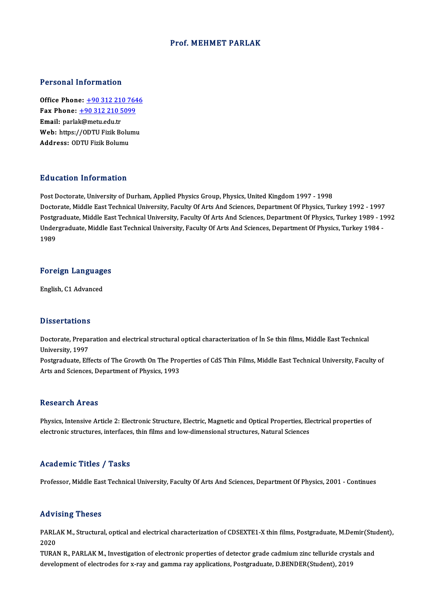#### Prof.MEHMET PARLAK

#### Personal Information

**Personal Information<br>Office Phone: +90 312 210 7646<br>Fax Phone: +90 312 210 5099** Fax Phone: <u>+90 312 210 764</u><br>Fax Phone: <u>+90 312 210 5099</u><br>Fmail: parlak@matu.edu.tr Office Phone: <u>+90 312 210 5</u><br>Fax Phone: <u>+90 312 210 5</u><br>Email: parla[k@metu.edu.tr](tel:+90 312 210 5099) Fax Phone: <u>+90 312 210 5099</u><br>Email: parlak@metu.edu.tr<br>Web: https://ODTU Fizik Bolum<br>Address: ODTU Fizik Bolumu Web: https://ODTU Fizik Bolumu

#### Education Information

Post Doctorate, University of Durham, Applied Physics Group, Physics, United Kingdom 1997 - 1998 Du ususeryn Throt Inderon<br>Post Doctorate, University of Durham, Applied Physics Group, Physics, United Kingdom 1997 - 1998<br>Doctorate, Middle East Technical University, Faculty Of Arts And Sciences, Department Of Physics, T Post Doctorate, University of Durham, Applied Physics Group, Physics, United Kingdom 1997 - 1998<br>Doctorate, Middle East Technical University, Faculty Of Arts And Sciences, Department Of Physics, Turkey 1992 - 1997<br>Postgrad Doctorate, Middle East Technical University, Faculty Of Arts And Sciences, Department Of Physics, Turkey 1992 - 1997<br>1991 - Postgraduate, Middle East Technical University, Faculty Of Arts And Sciences, Department Of Physic Postgi<br>Under<br>1989

## 1<sup>989</sup><br>Foreign Languages <mark>Foreign Languag</mark><br>English, C1 Advanced

English, C1 Advanced<br>Dissertations

Dissertations<br>Doctorate, Preparation and electrical structural optical characterization of İn Se thin films, Middle East Technical<br>University, 1997 Dissolitations<br>Doctorate, Prepa<br>University, 1997<br>Postareduate, Eff Doctorate, Preparation and electrical structural optical characterization of İn Se thin films, Middle East Technical<br>University, 1997<br>Postgraduate, Effects of The Growth On The Properties of CdS Thin Films, Middle East Tec

University, 1997<br>Postgraduate, Effects of The Growth On The Pro<br>Arts and Sciences, Department of Physics, 1993 Arts and Sciences, Department of Physics, 1993<br>Research Areas

Physics, Intensive Article 2: Electronic Structure, Electric, Magnetic and Optical Properties, Electrical properties of electronic structures, interfaces, thin films and low-dimensional structures, Natural Sciences

#### Academic Titles / Tasks

Professor, Middle East Technical University, Faculty Of Arts And Sciences, Department Of Physics, 2001 - Continues

#### Advising Theses

Advising Theses<br>PARLAK M., Structural, optical and electrical characterization of CDSEXTE1-X thin films, Postgraduate, M.Demir(Student),<br>2020 یر 11<br>2020<br>2020 PARLAK M., Structural, optical and electrical characterization of CDSEXTE1-X thin films, Postgraduate, M.Demir(Stu<br>2020<br>TURAN R., PARLAK M., Investigation of electronic properties of detector grade cadmium zinc telluride c

2020<br>TURAN R., PARLAK M., Investigation of electronic properties of detector grade cadmium zinc telluride crystals and<br>development of electrodes for x-ray and gamma ray applications, Postgraduate, D.BENDER(Student), 2019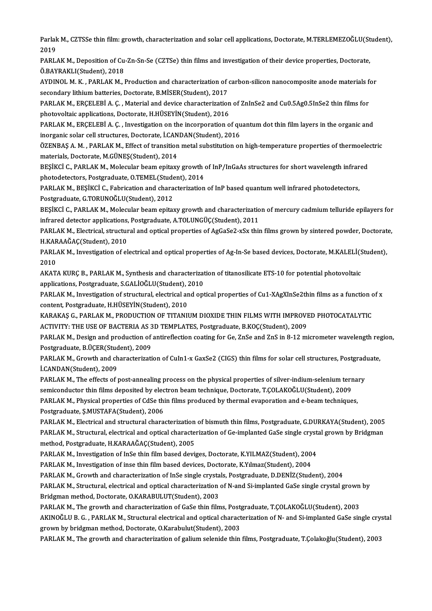Parlak M., CZTSSe thin film: growth, characterization and solar cell applications, Doctorate, M.TERLEMEZOĞLU(Student),<br>2019 Parlak<br>2019<br>PARL Parlak M., CZTSSe thin film: growth, characterization and solar cell applications, Doctorate, M.TERLEMEZOĞLU(St<br>2019<br>PARLAK M., Deposition of Cu-Zn-Sn-Se (CZTSe) thin films and investigation of their device properties, Doc

2019<br>PARLAK M., Deposition of Cu-Zn-Sn-Se (CZTSe) thin films and investigation of their device properties, Doctorate,<br>Ö.BAYRAKLI(Student). 2018 PARLAK M., Deposition of Cu-Zn-Sn-Se (CZTSe) thin films and investigation of their device properties, Doctorate,<br>Ö.BAYRAKLI(Student), 2018<br>AYDINOL M. K. , PARLAK M., Production and characterization of carbon-silicon nanoco

Ö.BAYRAKLI(Student), 2018<br>AYDINOL M. K. , PARLAK M., Production and characterization of execondary lithium batteries, Doctorate, B.MİSER(Student), 2017<br>PARLAK M., ERCELERÍ A.C., Material and devise characterization AYDINOL M. K. , PARLAK M., Production and characterization of carbon-silicon nanocomposite anode materials for<br>secondary lithium batteries, Doctorate, B.MİSER(Student), 2017<br>PARLAK M., ERÇELEBİ A. Ç. , Material and device

secondary lithium batteries, Doctorate, B.MİSER(Student), 2017<br>PARLAK M., ERÇELEBİ A. Ç. , Material and device characterization of ZnInSe2 and Cu0.5Ag0.5InSe2 thin films for<br>photovoltaic applications, Doctorate, H.HÜSEYİN( PARLAK M., ERÇELEBİ A. Ç. , Material and device characterization of ZnInSe2 and Cu0.5Ag0.5InSe2 thin films for<br>photovoltaic applications, Doctorate, H.HÜSEYİN(Student), 2016<br>PARLAK M., ERÇELEBİ A. Ç. , Investigation on the

photovoltaic applications, Doctorate, H.HÜSEYİN(Student), 2016<br>PARLAK M., ERÇELEBİ A. Ç. , Investigation on the incorporation of qu<br>inorganic solar cell structures, Doctorate, İ.CANDAN(Student), 2016<br>ÖZENRAS A. M., PARLAK PARLAK M., ERÇELEBİ A. Ç. , Investigation on the incorporation of quantum dot thin film layers in the organic and<br>inorganic solar cell structures, Doctorate, İ.CANDAN(Student), 2016<br>ÖZENBAŞ A. M. , PARLAK M., Effect of tra

inorganic solar cell structures, Doctorate, İ.CANDAN(Student), 2016<br>ÖZENBAŞ A. M. , PARLAK M., Effect of transition metal substitution on high-temperature properties of thermoele<br>materials, Doctorate, M.GÜNEŞ(Student), 201 ÖZENBAŞ A. M. , PARLAK M., Effect of transition metal substitution on high-temperature properties of thermoele<br>materials, Doctorate, M.GÜNEŞ(Student), 2014<br>BEŞİKCİ C., PARLAK M., Molecular beam epitaxy growth of InP/InGaAs

materials, Doctorate, M.GÜNEŞ(Student), 2014<br>BEŞİKCİ C., PARLAK M., Molecular beam epitaxy growth<br>photodetectors, Postgraduate, O.TEMEL(Student), 2014<br>PARLAK M. PESİKÇİ C. Eshrisation and sharastariration

PARLAK M., BEŞİKCİ C., Fabrication and characterization of InP based quantum well infrared photodetectors,<br>Postgraduate, G.TORUNOĞLU(Student), 2012 photodetectors, Postgraduate, O.TEMEL(Stude<br>PARLAK M., BEŞİKCİ C., Fabrication and chara<br>Postgraduate, G.TORUNOĞLU(Student), 2012<br>PESİKÇİ G. PARLAK M. Mologular boam enitat PARLAK M., BEŞİKCİ C., Fabrication and characterization of InP based quantum well infrared photodetectors,<br>Postgraduate, G.TORUNOĞLU(Student), 2012<br>BEŞİKCİ C., PARLAK M., Molecular beam epitaxy growth and characterization

Postgraduate, G.TORUNOĞLU(Student), 2012<br>BEŞİKCİ C., PARLAK M., Molecular beam epitaxy growth and characterization<br>infrared detector applications, Postgraduate, A.TOLUNGÜÇ(Student), 2011<br>PARLAK M., Flectricel etructural an BEŞİKCİ C., PARLAK M., Molecular beam epitaxy growth and characterization of mercury cadmium telluride epilayers for<br>infrared detector applications, Postgraduate, A.TOLUNGÜÇ(Student), 2011<br>PARLAK M., Electrical, structural

infrared detector applications,<br>PARLAK M., Electrical, structur<br>H.KARAAĞAÇ(Student), 2010<br>PARLAK M. Investigation of el PARLAK M., Electrical, structural and optical properties of AgGaSe2-xSx thin films grown by sintered powder, Doctorat<br>H.KARAAĞAÇ(Student), 2010<br>PARLAK M., Investigation of electrical and optical properties of Ag-In-Se base

H.KARAAĞAÇ(Student), 2010<br>PARLAK M., Investigation of electrical and optical properties of Ag-In-Se based devices, Doctorate, M.KALELİ(Student),<br>2010 PARLAK M., Investigation of electrical and optical properties of Ag-In-Se based devices, Doctorate, M.KALELİ(S<br>2010<br>AKATA KURÇ B., PARLAK M., Synthesis and characterization of titanosilicate ETS-10 for potential photovolta

2010<br>AKATA KURÇ B., PARLAK M., Synthesis and characterizat<br>applications, Postgraduate, S.GALİOĞLU(Student), 2010<br>RARLAK M. Investigation of strugtural, electrical and ent AKATA KURÇ B., PARLAK M., Synthesis and characterization of titanosilicate ETS-10 for potential photovoltaic<br>applications, Postgraduate, S.GALİOĞLU(Student), 2010<br>PARLAK M., Investigation of structural, electrical and opti

applications, Postgraduate, S.GALİOĞLU(Student), 2010<br>PARLAK M., Investigation of structural, electrical and op<br>content, Postgraduate, H.HÜSEYİN(Student), 2010 PARLAK M., Investigation of structural, electrical and optical properties of Cu1-XAgXInSe2thin films as a function of x<br>content, Postgraduate, H.HÜSEYİN(Student), 2010<br>KARAKAŞ G., PARLAK M., PRODUCTION OF TITANIUM DIOXIDE

KARAKAS G., PARLAK M., PRODUCTION OF TITANIUM DIOXIDE THIN FILMS WITH IMPROVED PHOTOCATALYTIC KARAKAŞ G., PARLAK M., PRODUCTION OF TITANIUM DIOXIDE THIN FILMS WITH IMPROVED PHOTOCATALYTIC<br>ACTIVITY: THE USE OF BACTERIA AS 3D TEMPLATES, Postgraduate, B.KOÇ(Student), 2009<br>PARLAK M., Design and production of antireflec

ACTIVITY: THE USE OF BACTERIA AS 3<br>PARLAK M., Design and production of<br>Postgraduate, B.ÜÇER(Student), 2009<br>PARLAK M. Grouth and characterizati PARLAK M., Design and production of antireflection coating for Ge, ZnSe and ZnS in 8-12 micrometer wavelength reg<br>Postgraduate, B.ÜÇER(Student), 2009<br>PARLAK M., Growth and characterization of CuIn1-x GaxSe2 (CIGS) thin fil

Postgraduate, B.ÜÇER(Student), 2009<br>PARLAK M., Growth and characterization of CuIn1-x GaxSe2 (CIGS) thin films for solar cell structures, Postgraduate,<br>İ.CANDAN(Student), 2009 PARLAK M., Growth and characterization of CuIn1-x GaxSe2 (CIGS) thin films for solar cell structures, Postgrad<br>I.CANDAN(Student), 2009<br>PARLAK M., The effects of post-annealing process on the physical properties of silver-i

i.CANDAN(Student), 2009<br>PARLAK M., The effects of post-annealing process on the physical properties of silver-indium-selenium terr<br>semiconductor thin films deposited by electron beam technique, Doctorate, T.ÇOLAKOĞLU(Stude PARLAK M., The effects of post-annealing process on the physical properties of silver-indium-selenium ternal<br>semiconductor thin films deposited by electron beam technique, Doctorate, T.ÇOLAKOĞLU(Student), 2009<br>PARLAK M., P

semiconductor thin films deposited by electron beam technique, Doctorate, T.ÇOLAKOĞLU(Student), 2009<br>PARLAK M., Physical properties of CdSe thin films produced by thermal evaporation and e-beam techniques,<br>Postgraduate, Ş.

PARLAK M., Electrical and structural characterization of bismuth thin films, Postgraduate, G.DURKAYA(Student), 2005 Postgraduate, Ş.MUSTAFA(Student), 2006<br>PARLAK M., Electrical and structural characterization of bismuth thin films, Postgraduate, G.DURKAYA(Student), 2005<br>PARLAK M., Structural, electrical and optical characterization of G PARLAK M., Electrical and structural characterization<br>PARLAK M., Structural, electrical and optical characte<br>method, Postgraduate, H.KARAAĞAÇ(Student), 2005<br>PARLAK M. Investigation of InSe thin film based devi PARLAK M., Structural, electrical and optical characterization of Ge-implanted GaSe single cryst<br>method, Postgraduate, H.KARAAĞAÇ(Student), 2005<br>PARLAK M., Investigation of InSe thin film based deviges, Doctorate, K.YILMAZ

method, Postgraduate, H.KARAAĞAÇ(Student), 2005<br>PARLAK M., Investigation of InSe thin film based deviges, Doctorate, K.YILMAZ(Student), 2004<br>PARLAK M., Investigation of inse thin film based devices, Doctorate, K.Yılmaz(Stu

PARLAK M., Investigation of InSe thin film based deviges, Doctorate, K.YILMAZ(Student), 2004<br>PARLAK M., Investigation of inse thin film based devices, Doctorate, K.Yılmaz(Student), 2004<br>PARLAK M., Growth and characterizati

PARLAK M., Investigation of inse thin film based devices, Doctorate, K.Yılmaz(Student), 2004<br>PARLAK M., Growth and characterization of InSe single crystals, Postgraduate, D.DENİZ(Student), 2004<br>PARLAK M., Structural, elect PARLAK M., Growth and characterization of InSe single crysta<br>PARLAK M., Structural, electrical and optical characterization<br>Bridgman method, Doctorate, O.KARABULUT(Student), 2003<br>PARLAK M. The growth and characterization o PARLAK M., Structural, electrical and optical characterization of N-and Si-implanted GaSe single crystal grown<br>Bridgman method, Doctorate, O.KARABULUT(Student), 2003<br>PARLAK M., The growth and characterization of GaSe thin

PARLAK M., The growth and characterization of GaSe thin films, Postgraduate, T.COLAKOGLU(Student), 2003

Bridgman method, Doctorate, O.KARABULUT(Student), 2003<br>PARLAK M., The growth and characterization of GaSe thin films, Postgraduate, T.ÇOLAKOĞLU(Student), 2003<br>AKINOĞLU B. G. , PARLAK M., Structural electrical and optical c

PARLAK M., The growth and characterization of galium selenide thin films, Postgraduate, T.Çolakoğlu(Student), 2003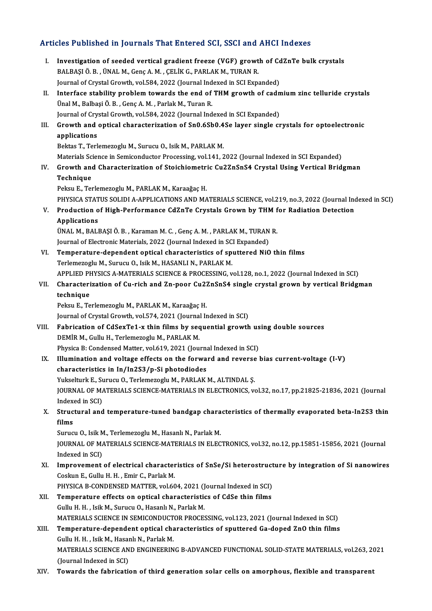# Articles Published in Journals That Entered SCI, SSCI and AHCI Indexes

|       | Articles Published in Journals That Entered SCI, SSCI and AHCI Indexes                                                                                     |
|-------|------------------------------------------------------------------------------------------------------------------------------------------------------------|
| Ι.    | Investigation of seeded vertical gradient freeze (VGF) growth of CdZnTe bulk crystals<br>BALBAŞI Ö. B., ÜNAL M., Genç A. M., ÇELİK G., PARLAK M., TURAN R. |
|       | Journal of Crystal Growth, vol.584, 2022 (Journal Indexed in SCI Expanded)                                                                                 |
| П.    | Interface stability problem towards the end of THM growth of cadmium zinc telluride crystals<br>Ünal M., Balbaşi Ö. B., Genç A. M., Parlak M., Turan R.    |
|       | Journal of Crystal Growth, vol.584, 2022 (Journal Indexed in SCI Expanded)                                                                                 |
| III.  | Growth and optical characterization of Sn0.6Sb0.4Se layer single crystals for optoelectronic                                                               |
|       | applications                                                                                                                                               |
|       | Bektas T., Terlemezoglu M., Surucu O., Isik M., PARLAK M.                                                                                                  |
|       | Materials Science in Semiconductor Processing, vol.141, 2022 (Journal Indexed in SCI Expanded)                                                             |
| IV.   | Growth and Characterization of Stoichiometric Cu2ZnSnS4 Crystal Using Vertical Bridgman                                                                    |
|       | Technique                                                                                                                                                  |
|       | Peksu E., Terlemezoglu M., PARLAK M., Karaağaç H.                                                                                                          |
|       | PHYSICA STATUS SOLIDI A-APPLICATIONS AND MATERIALS SCIENCE, vol.219, no.3, 2022 (Journal Indexed in SCI)                                                   |
| V.    | Production of High-Performance CdZnTe Crystals Grown by THM for Radiation Detection                                                                        |
|       | <b>Applications</b>                                                                                                                                        |
|       | ÜNAL M., BALBAŞI Ö. B., Karaman M. C., Genç A. M., PARLAK M., TURAN R.                                                                                     |
|       | Journal of Electronic Materials, 2022 (Journal Indexed in SCI Expanded)                                                                                    |
| VI.   | Temperature-dependent optical characteristics of sputtered NiO thin films                                                                                  |
|       | Terlemezoglu M., Surucu O., Isik M., HASANLI N., PARLAK M.                                                                                                 |
|       | APPLIED PHYSICS A-MATERIALS SCIENCE & PROCESSING, vol.128, no.1, 2022 (Journal Indexed in SCI)                                                             |
| VII.  | Characterization of Cu-rich and Zn-poor Cu2ZnSnS4 single crystal grown by vertical Bridgman                                                                |
|       | technique                                                                                                                                                  |
|       | Peksu E., Terlemezoglu M., PARLAK M., Karaağaç H.                                                                                                          |
|       | Journal of Crystal Growth, vol.574, 2021 (Journal Indexed in SCI)                                                                                          |
| VIII. | Fabrication of CdSexTe1-x thin films by sequential growth using double sources                                                                             |
|       | DEMİR M., Gullu H., Terlemezoglu M., PARLAK M.                                                                                                             |
|       | Physica B: Condensed Matter, vol.619, 2021 (Journal Indexed in SCI)                                                                                        |
|       | IX. Illumination and voltage effects on the forward and reverse bias current-voltage (I-V)                                                                 |
|       | characteristics in In/In2S3/p-Si photodiodes<br>Yukselturk E., Surucu O., Terlemezoglu M., PARLAK M., ALTINDAL S.                                          |
|       | JOURNAL OF MATERIALS SCIENCE-MATERIALS IN ELECTRONICS, vol.32, no.17, pp.21825-21836, 2021 (Journal                                                        |
|       | Indexed in SCI)                                                                                                                                            |
| Х.    | Structural and temperature-tuned bandgap characteristics of thermally evaporated beta-In2S3 thin                                                           |
|       | films                                                                                                                                                      |
|       | Surucu O., Isik M., Terlemezoglu M., Hasanlı N., Parlak M.                                                                                                 |
|       | JOURNAL OF MATERIALS SCIENCE-MATERIALS IN ELECTRONICS, vol.32, no.12, pp.15851-15856, 2021 (Journal                                                        |
|       | Indexed in SCI)                                                                                                                                            |
| XI.   | Improvement of electrical characteristics of SnSe/Si heterostructure by integration of Si nanowires                                                        |
|       | Coskun E., Gullu H. H., Emir C., Parlak M.                                                                                                                 |
|       | PHYSICA B-CONDENSED MATTER, vol.604, 2021 (Journal Indexed in SCI)                                                                                         |
| XII.  | Temperature effects on optical characteristics of CdSe thin films                                                                                          |
|       | Gullu H. H., Isik M., Surucu O., Hasanlı N., Parlak M.                                                                                                     |
|       | MATERIALS SCIENCE IN SEMICONDUCTOR PROCESSING, vol.123, 2021 (Journal Indexed in SCI)                                                                      |
| XIII. | Temperature-dependent optical characteristics of sputtered Ga-doped ZnO thin films                                                                         |
|       | Gullu H. H., Isik M., Hasanlı N., Parlak M.                                                                                                                |
|       | MATERIALS SCIENCE AND ENGINEERING B-ADVANCED FUNCTIONAL SOLID-STATE MATERIALS, vol.263, 2021                                                               |
|       | (Journal Indexed in SCI)                                                                                                                                   |
| XIV.  | Towards the fabrication of third generation solar cells on amorphous, flexible and transparent                                                             |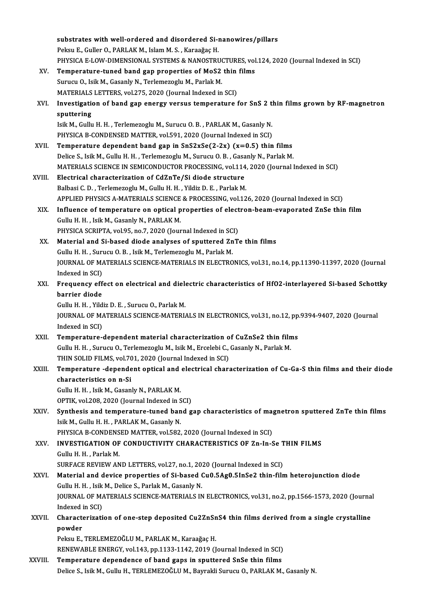|             | substrates with well-ordered and disordered Si-nanowires/pillars                                     |
|-------------|------------------------------------------------------------------------------------------------------|
|             | Peksu E., Guller O., PARLAK M., Islam M. S., Karaağaç H.                                             |
|             | PHYSICA E-LOW-DIMENSIONAL SYSTEMS & NANOSTRUCTURES, vol.124, 2020 (Journal Indexed in SCI)           |
| XV.         | Temperature-tuned band gap properties of MoS2 thin films                                             |
|             | Surucu O., Isik M., Gasanly N., Terlemezoglu M., Parlak M.                                           |
|             | MATERIALS LETTERS, vol.275, 2020 (Journal Indexed in SCI)                                            |
| XVI.        | Investigation of band gap energy versus temperature for SnS 2 thin films grown by RF-magnetron       |
|             | sputtering                                                                                           |
|             | Isik M., Gullu H. H., Terlemezoglu M., Surucu O. B., PARLAK M., Gasanly N.                           |
|             | PHYSICA B-CONDENSED MATTER, vol.591, 2020 (Journal Indexed in SCI)                                   |
| XVII.       | Temperature dependent band gap in $SnS2xSe(2-2x)$ (x=0.5) thin films                                 |
|             | Delice S., Isik M., Gullu H. H., Terlemezoglu M., Surucu O. B., Gasanly N., Parlak M.                |
|             | MATERIALS SCIENCE IN SEMICONDUCTOR PROCESSING, vol.114, 2020 (Journal Indexed in SCI)                |
| XVIII.      | Electrical characterization of CdZnTe/Si diode structure                                             |
|             | Balbasi C. D., Terlemezoglu M., Gullu H. H., Yildiz D. E., Parlak M.                                 |
|             | APPLIED PHYSICS A-MATERIALS SCIENCE & PROCESSING, vol.126, 2020 (Journal Indexed in SCI)             |
| XIX.        | Influence of temperature on optical properties of electron-beam-evaporated ZnSe thin film            |
|             | Gullu H. H., Isik M., Gasanly N., PARLAK M.                                                          |
|             | PHYSICA SCRIPTA, vol.95, no.7, 2020 (Journal Indexed in SCI)                                         |
| XX.         | Material and Si-based diode analyses of sputtered ZnTe thin films                                    |
|             | Gullu H. H., Surucu O. B., Isik M., Terlemezoglu M., Parlak M.                                       |
|             | JOURNAL OF MATERIALS SCIENCE-MATERIALS IN ELECTRONICS, vol.31, no.14, pp.11390-11397, 2020 (Journal  |
|             | Indexed in SCI)                                                                                      |
| XXI.        | Frequency effect on electrical and dielectric characteristics of HfO2-interlayered Si-based Schottky |
|             | barrier diode                                                                                        |
|             | Gullu H. H., Yildiz D. E., Surucu O., Parlak M.                                                      |
|             | JOURNAL OF MATERIALS SCIENCE-MATERIALS IN ELECTRONICS, vol.31, no.12, pp.9394-9407, 2020 (Journal    |
|             | Indexed in SCI)                                                                                      |
| <b>XXII</b> | Temperature-dependent material characterization of CuZnSe2 thin films                                |
|             | Gullu H. H., Surucu O., Terlemezoglu M., Isik M., Ercelebi C., Gasanly N., Parlak M.                 |
|             | THIN SOLID FILMS, vol.701, 2020 (Journal Indexed in SCI)                                             |
| XXIII.      | Temperature -dependent optical and electrical characterization of Cu-Ga-S thin films and their diode |
|             | characteristics on n-Si                                                                              |
|             | Gullu H. H., Isik M., Gasanly N., PARLAK M.                                                          |
|             | OPTIK, vol.208, 2020 (Journal Indexed in SCI)                                                        |
| XXIV.       | Synthesis and temperature-tuned band gap characteristics of magnetron sputtered ZnTe thin films      |
|             | Isik M., Gullu H. H., PARLAK M., Gasanly N.                                                          |
|             | PHYSICA B-CONDENSED MATTER, vol.582, 2020 (Journal Indexed in SCI)                                   |
| XXV.        | INVESTIGATION OF CONDUCTIVITY CHARACTERISTICS OF Zn-In-Se THIN FILMS<br>Gullu H. H., Parlak M.       |
|             | SURFACE REVIEW AND LETTERS, vol.27, no.1, 2020 (Journal Indexed in SCI)                              |
| XXVI.       | Material and device properties of Si-based Cu0.5Ag0.5InSe2 thin-film heterojunction diode            |
|             | Gullu H. H., Isik M., Delice S., Parlak M., Gasanly N.                                               |
|             | JOURNAL OF MATERIALS SCIENCE-MATERIALS IN ELECTRONICS, vol.31, no.2, pp.1566-1573, 2020 (Journal     |
|             | Indexed in SCI)                                                                                      |
| XXVII.      | Characterization of one-step deposited Cu2ZnSnS4 thin films derived from a single crystalline        |
|             | powder                                                                                               |
|             | Peksu E., TERLEMEZOĞLU M., PARLAK M., Karaağaç H.                                                    |
|             | RENEWABLE ENERGY, vol.143, pp.1133-1142, 2019 (Journal Indexed in SCI)                               |
| XXVIII.     | Temperature dependence of band gaps in sputtered SnSe thin films                                     |
|             | Delice S., Isik M., Gullu H., TERLEMEZOĞLU M., Bayrakli Surucu O., PARLAK M., Gasanly N.             |
|             |                                                                                                      |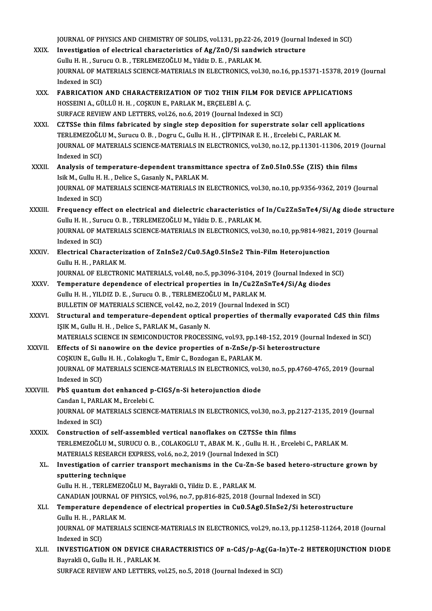JOURNAL OF PHYSICS AND CHEMISTRY OF SOLIDS, vol.131, pp.22-26, 2019 (Journal Indexed in SCI)<br>Investigation of electrical characteristics of As (7n0 (Si conduish structure

- JOURNAL OF PHYSICS AND CHEMISTRY OF SOLIDS, vol.131, pp.22-26, 2019 (Journal<br>XXIX. Investigation of electrical characteristics of Ag/ZnO/Si sandwich structure JOURNAL OF PHYSICS AND CHEMISTRY OF SOLIDS, vol.131, pp.22-26,<br>Investigation of electrical characteristics of Ag/ZnO/Si sandw<br>Gullu H. H. , Surucu O. B. , TERLEMEZOĞLU M., Yildiz D. E. , PARLAK M.<br>JOURNAL OF MATERIALS SCIE Investigation of electrical characteristics of Ag/ZnO/Si sandwich structure<br>Gullu H. H. , Surucu O. B. , TERLEMEZOĞLU M., Yildiz D. E. , PARLAK M.<br>JOURNAL OF MATERIALS SCIENCE-MATERIALS IN ELECTRONICS, vol.30, no.16, pp.15 Gullu H. H., Surucu O. B., TERLEMEZOĞLU M., Yildiz D. E., PARLAK M. JOURNAL OF MATERIALS SCIENCE-MATERIALS IN ELECTRONICS, vol.30, no.16, pp.15371-15378, 201<br>Indexed in SCI)<br>XXX. FABRICATION AND CHARACTERIZATION OF TIO2 THIN FILM FOR DEVICE APPLICATIONS<br>HOSSEINI A CÜLLÜ H H COSKUN E BABLAK
- Indexed in SCI)<br>FABRICATION AND CHARACTERIZATION OF TiO2 THIN FIL<br>HOSSEINI A., GÜLLÜ H. H. , COŞKUN E., PARLAK M., ERÇELEBİ A. Ç.<br>SUREACE REVIEW AND LETTERS, vol 26 no 6,2019 (Journal Indo FABRICATION AND CHARACTERIZATION OF TIO2 THIN FILM FOR DE<br>HOSSEINI A., GÜLLÜ H. H. , COŞKUN E., PARLAK M., ERÇELEBİ A. Ç.<br>SURFACE REVIEW AND LETTERS, vol.26, no.6, 2019 (Journal Indexed in SCI)<br>CZTSSe thin films fabrisated HOSSEINI A., GÜLLÜ H. H. , COŞKUN E., PARLAK M., ERÇELEBİ A. Ç.<br>SURFACE REVIEW AND LETTERS, vol.26, no.6, 2019 (Journal Indexed in SCI)<br>XXXI. CZTSSe thin films fabricated by single step deposition for superstrate solar
- SURFACE REVIEW AND LETTERS, vol.26, no.6, 2019 (Journal Indexed in SCI)<br>CZTSSe thin films fabricated by single step deposition for superstrate solar cell appli<br>TERLEMEZOĞLU M., Surucu O. B. , Dogru C., Gullu H. H. , ÇİFTPI JOURNAL OF MATERIALS SCIENCE-MATERIALS IN ELECTRONICS, vol.30, no.12, pp.11301-11306, 2019 (Journal Indexed in SCI) TERLEMEZOĞLI<br>JOURNAL OF MA<br>Indexed in SCI)<br>Analysis of tal
- XXXII. Analysis of temperature-dependent transmittance spectra of Zn0.5In0.5Se (ZIS) thin films Isik M., Gullu H. H., Delice S., Gasanly N., PARLAK M. Analysis of temperature-dependent transmittance spectra of Zn0.5In0.5Se (ZIS) thin films<br>Isik M., Gullu H. H. , Delice S., Gasanly N., PARLAK M.<br>JOURNAL OF MATERIALS SCIENCE-MATERIALS IN ELECTRONICS, vol.30, no.10, pp.9356 Isik M., Gullu H.<br>JOURNAL OF M.<br>Indexed in SCI)<br>Encouency off JOURNAL OF MATERIALS SCIENCE-MATERIALS IN ELECTRONICS, vol.30, no.10, pp.9356-9362, 2019 (Journal<br>Indexed in SCI)<br>XXXIII. Frequency effect on electrical and dielectric characteristics of In/Cu2ZnSnTe4/Si/Ag diode structure
- Indexed in SCI)<br>Frequency effect on electrical and dielectric characteristics of In/Cu2ZnSnTe4/Si/Ag diode structure<br>Gullu H. H. , Surucu O. B. , TERLEMEZOĞLU M., Yildiz D. E. , PARLAK M. Frequency effect on electrical and dielectric characteristics of In/Cu2ZnSnTe4/Si/Ag diode strud<br>Gullu H. H. , Surucu O. B. , TERLEMEZOĞLU M., Yildiz D. E. , PARLAK M.<br>JOURNAL OF MATERIALS SCIENCE-MATERIALS IN ELECTRONICS, Gullu H. H. , Suri<br>JOURNAL OF MA<br>Indexed in SCI)<br>Electrical Char JOURNAL OF MATERIALS SCIENCE-MATERIALS IN ELECTRONICS, vol.30, no.10, pp.9814-9821<br>Indexed in SCI)<br>XXXIV. Electrical Characterization of ZnInSe2/Cu0.5Ag0.5InSe2 Thin-Film Heterojunction<br>Cully H. BARLAK M
- Indexed in SCI)<br>Electrical Characterization of ZnInSe2/Cu0.5Ag0.5InSe2 Thin-Film Heterojunction<br>Gullu H. H. , PARLAK M. Electrical Characterization of ZnInSe2/Cu0.5Ag0.5InSe2 Thin-Film Heterojunction<br>Gullu H. H. , PARLAK M.<br>JOURNAL OF ELECTRONIC MATERIALS, vol.48, no.5, pp.3096-3104, 2019 (Journal Indexed in SCI)<br>Temperature dependence of e

- Gullu H. H. , PARLAK M.<br>JOURNAL OF ELECTRONIC MATERIALS, vol.48, no.5, pp.3096-3104, 2019 (Journal Indexed in<br>XXXV. Temperature dependence of electrical properties in In/Cu2ZnSnTe4/Si/Ag diodes JOURNAL OF ELECTRONIC MATERIALS, vol.48, no.5, pp.3096-3104, 201<br>Temperature dependence of electrical properties in In/Cu2ZnS<br>Gullu H. H. , YILDIZ D. E. , Surucu O. B. , TERLEMEZOĞLU M., PARLAK M.<br>PULLETIN OF MATERIALS SCI Temperature dependence of electrical properties in In/Cu2ZnSnTe4/S<br>Gullu H. H. , YILDIZ D. E. , Surucu O. B. , TERLEMEZOĞLU M., PARLAK M.<br>BULLETIN OF MATERIALS SCIENCE, vol.42, no.2, 2019 (Journal Indexed in SCI)<br>Structura
- Gullu H. H. , YILDIZ D. E. , Surucu O. B. , TERLEMEZOĞLU M., PARLAK M.<br>BULLETIN OF MATERIALS SCIENCE, vol.42, no.2, 2019 (Journal Indexed in SCI)<br>XXXVI. Structural and temperature-dependent optical properties of thermally BULLETIN OF MATERIALS SCIENCE, vol.42, no.2, 2013<br>Structural and temperature-dependent optical<br>IŞIK M., Gullu H. H. , Delice S., PARLAK M., Gasanly N.<br>MATERIALS SCIENCE IN SEMICONDUCTOR PROCESS Structural and temperature-dependent optical properties of thermally evaporated CdS thin film<br>ISIK M., Gullu H. H. , Delice S., PARLAK M., Gasanly N.<br>MATERIALS SCIENCE IN SEMICONDUCTOR PROCESSING, vol.93, pp.148-152, 2019 IŞIK M., Gullu H. H. , Delice S., PARLAK M., Gasanly N.<br>MATERIALS SCIENCE IN SEMICONDUCTOR PROCESSING, vol.93, pp.148-152, 2019 (Journa<br>XXXVII. Effects of Si nanowire on the device properties of n-ZnSe/p-Si heterostructure
- MATERIALS SCIENCE IN SEMICONDUCTOR PROCESSING, vol.93, pp.14<br>Effects of Si nanowire on the device properties of n-ZnSe/p-S<br>COSKUN E., Gullu H. H. , Colakoglu T., Emir C., Bozdogan E., PARLAK M.<br>JOURNAL OF MATERIALS SCIENCE Effects of Si nanowire on the device properties of n-ZnSe/p-Si heterostructure<br>COŞKUN E., Gullu H. H. , Colakoglu T., Emir C., Bozdogan E., PARLAK M.<br>JOURNAL OF MATERIALS SCIENCE-MATERIALS IN ELECTRONICS, vol.30, no.5, pp. COŞKUN E., Gull<br>JOURNAL OF MA<br>Indexed in SCI)<br>PhS quantum JOURNAL OF MATERIALS SCIENCE-MATERIALS IN ELECTRONICS, vol.<br>Indexed in SCI)<br>XXXVIII. PbS quantum dot enhanced p-CIGS/n-Si heterojunction diode<br>Cardan L BARLAK M. Excelsbi C

## Indexed in SCI)<br>PbS quantum dot enhanced p-CIGS/n-Si heterojunction diode JOURNAL OF MATERIALS SCIENCE-MATERIALS IN ELECTRONICS, vol.30, no.3, pp.2127-2135, 2019 (Journal Indexed in SCI) Candan I., PARLAK M., Ercelebi C.

JOURNAL OF MATERIALS SCIENCE-MATERIALS IN ELECTRONICS, vol.30, no.3, pp.<br>Indexed in SCI)<br>XXXIX. Construction of self-assembled vertical nanoflakes on CZTSSe thin films<br>TEDI EMEZOČLIJM, SUBUCLO B, COLAKOCLUT, ABAK M, K, Cul TERLEMEZOĞLU M., SURUCU O. B. , COLAKOGLU T., ABAK M. K. , Gullu H. H. , Ercelebi C., PARLAK M.<br>MATERIALS RESEARCH EXPRESS, vol.6, no.2, 2019 (Journal Indexed in SCI) Construction of self-assembled vertical nanoflakes on CZTSSe thin<br>TERLEMEZOĞLU M., SURUCU O.B. , COLAKOGLU T., ABAK M. K. , Gullu H. H. ,<br>MATERIALS RESEARCH EXPRESS, vol.6, no.2, 2019 (Journal Indexed in SCI)<br>Investigation TERLEMEZOĞLU M., SURUCU O. B. , COLAKOGLU T., ABAK M. K. , Gullu H. H. , Ercelebi C., PARLAK M.<br>MATERIALS RESEARCH EXPRESS, vol.6, no.2, 2019 (Journal Indexed in SCI)<br>XL. Investigation of carrier transport mechanisms in th

MATERIALS RESEARCH<br>Investigation of carri<br>sputtering technique<br>Cully H H TERLEMEZO Investigation of carrier transport mechanisms in the Cu-Zn-<br>sputtering technique<br>Gullu H. H. , TERLEMEZOĞLU M., Bayrakli O., Yildiz D. E. , PARLAK M.<br>CANADIAN JOURNAL OF PHYSICS vol 96, po 7, pp.916, 925, 2019 (Jo sputtering technique<br>Gullu H. H. , TERLEMEZOĞLU M., Bayrakli O., Yildiz D. E. , PARLAK M.<br>CANADIAN JOURNAL OF PHYSICS, vol.96, no.7, pp.816-825, 2018 (Journal Indexed in SCI)<br>Temperature dependence of electrical properties

Gullu H. H. , TERLEMEZOĞLU M., Bayrakli O., Yildiz D. E. , PARLAK M.<br>CANADIAN JOURNAL OF PHYSICS, vol.96, no.7, pp.816-825, 2018 (Journal Indexed in SCI)<br>XLI. Temperature dependence of electrical properties in Cu0.5Ag0 CANADIAN JOURNAL OI<br>Temperature depend<br>Gullu H. H. , PARLAK M.<br>JOUPNAL OF MATERIAL Temperature dependence of electrical properties in Cu0.5Ag0.5InSe2/Si heterostructure<br>Gullu H. H. , PARLAK M.<br>JOURNAL OF MATERIALS SCIENCE-MATERIALS IN ELECTRONICS, vol.29, no.13, pp.11258-11264, 2018 (Journal<br>Indeved in S Gullu H. H. , PAR<br>JOURNAL OF MA<br>Indexed in SCI)<br>INVESTIC ATIO

JOURNAL OF MATERIALS SCIENCE-MATERIALS IN ELECTRONICS, vol.29, no.13, pp.11258-11264, 2018 (Journal<br>Indexed in SCI)<br>XLII. INVESTIGATION ON DEVICE CHARACTERISTICS OF n-CdS/p-Ag(Ga-In)Te-2 HETEROJUNCTION DIODE<br>Permelii O. Cu Indexed in SCI)<br>INVESTIGATION ON DEVICE CH<br>Bayrakli O., Gullu H. H. , PARLAK M.<br>SUREACE REVIEW AND LETTERS

Bayrakli O., Gullu H. H. , PARLAK M.<br>SURFACE REVIEW AND LETTERS, vol.25, no.5, 2018 (Journal Indexed in SCI)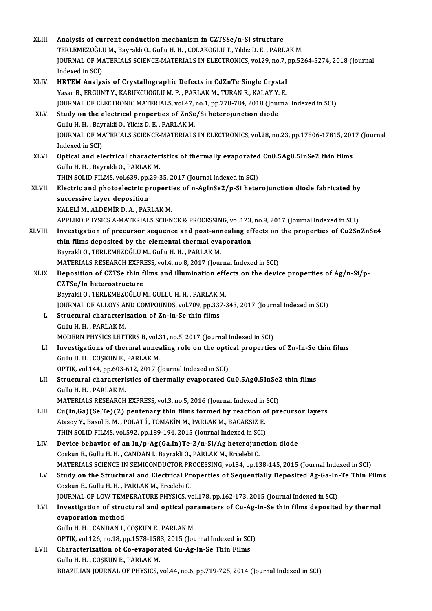| XLIII.      | Analysis of current conduction mechanism in CZTSSe/n-Si structure                                                                                              |
|-------------|----------------------------------------------------------------------------------------------------------------------------------------------------------------|
|             | TERLEMEZOĞLU M., Bayrakli O., Gullu H. H., COLAKOGLU T., Yildiz D. E., PARLAK M.                                                                               |
|             | JOURNAL OF MATERIALS SCIENCE-MATERIALS IN ELECTRONICS, vol.29, no.7, pp.5264-5274, 2018 (Journal                                                               |
|             | Indexed in SCI)                                                                                                                                                |
| XLIV.       | HRTEM Analysis of Crystallographic Defects in CdZnTe Single Crystal                                                                                            |
|             | Yasar B., ERGUNT Y., KABUKCUOGLU M. P., PARLAK M., TURAN R., KALAY Y. E.                                                                                       |
| XLV.        | JOURNAL OF ELECTRONIC MATERIALS, vol.47, no.1, pp.778-784, 2018 (Journal Indexed in SCI)<br>Study on the electrical properties of ZnSe/Si heterojunction diode |
|             | Gullu H. H., Bayrakli O., Yildiz D. E., PARLAK M.                                                                                                              |
|             | JOURNAL OF MATERIALS SCIENCE-MATERIALS IN ELECTRONICS, vol.28, no.23, pp.17806-17815, 2017 (Journal                                                            |
|             | Indexed in SCI)                                                                                                                                                |
| XLVI.       | Optical and electrical characteristics of thermally evaporated Cu0.5Ag0.5InSe2 thin films                                                                      |
|             | Gullu H. H., Bayrakli O., PARLAK M.                                                                                                                            |
|             | THIN SOLID FILMS, vol.639, pp.29-35, 2017 (Journal Indexed in SCI)                                                                                             |
| XLVII.      | Electric and photoelectric properties of n-AgInSe2/p-Si heterojunction diode fabricated by                                                                     |
|             | successive layer deposition                                                                                                                                    |
|             | KALELİ M., ALDEMİR D. A., PARLAK M.                                                                                                                            |
|             | APPLIED PHYSICS A-MATERIALS SCIENCE & PROCESSING, vol.123, no.9, 2017 (Journal Indexed in SCI)                                                                 |
| XLVIII.     | Investigation of precursor sequence and post-annealing effects on the properties of Cu2SnZnSe4                                                                 |
|             | thin films deposited by the elemental thermal evaporation                                                                                                      |
|             | Bayrakli O., TERLEMEZOĞLU M., Gullu H. H., PARLAK M.                                                                                                           |
|             | MATERIALS RESEARCH EXPRESS, vol.4, no.8, 2017 (Journal Indexed in SCI)                                                                                         |
| <b>XLIX</b> | Deposition of CZTSe thin films and illumination effects on the device properties of Ag/n-Si/p-                                                                 |
|             | CZTSe/In heterostructure                                                                                                                                       |
|             | Bayrakli O., TERLEMEZOĞLU M., GULLU H. H., PARLAK M.                                                                                                           |
|             | JOURNAL OF ALLOYS AND COMPOUNDS, vol.709, pp.337-343, 2017 (Journal Indexed in SCI)                                                                            |
| L.          | Structural characterization of Zn-In-Se thin films                                                                                                             |
|             | Gullu H. H., PARLAK M.                                                                                                                                         |
|             | MODERN PHYSICS LETTERS B, vol.31, no.5, 2017 (Journal Indexed in SCI)                                                                                          |
| LI.         | Investigations of thermal annealing role on the optical properties of Zn-In-Se thin films                                                                      |
|             | Gullu H. H., COŞKUN E., PARLAK M.                                                                                                                              |
|             | OPTIK, vol.144, pp.603-612, 2017 (Journal Indexed in SCI)                                                                                                      |
| LII.        | Structural characteristics of thermally evaporated Cu0.5Ag0.5InSe2 thin films                                                                                  |
|             | Gullu H. H., PARLAK M.                                                                                                                                         |
|             | MATERIALS RESEARCH EXPRESS, vol.3, no.5, 2016 (Journal Indexed in SCI)                                                                                         |
| LIII.       | Cu(In,Ga)(Se,Te)(2) pentenary thin films formed by reaction of precursor layers                                                                                |
|             | Atasoy Y., Basol B. M., POLAT İ., TOMAKİN M., PARLAK M., BACAKSIZ E.                                                                                           |
|             | THIN SOLID FILMS, vol.592, pp.189-194, 2015 (Journal Indexed in SCI)                                                                                           |
| LIV.        | Device behavior of an In/p-Ag(Ga,In)Te-2/n-Si/Ag heterojunction diode                                                                                          |
|             | Coskun E., Gullu H. H., CANDAN İ., Bayrakli O., PARLAK M., Ercelebi C.                                                                                         |
|             | MATERIALS SCIENCE IN SEMICONDUCTOR PROCESSING, vol.34, pp.138-145, 2015 (Journal Indexed in SCI)                                                               |
| LV.         | Study on the Structural and Electrical Properties of Sequentially Deposited Ag-Ga-In-Te Thin Films                                                             |
|             | Coskun E., Gullu H. H., PARLAK M., Ercelebi C.                                                                                                                 |
|             | JOURNAL OF LOW TEMPERATURE PHYSICS, vol.178, pp.162-173, 2015 (Journal Indexed in SCI)                                                                         |
| LVI.        | Investigation of structural and optical parameters of Cu-Ag-In-Se thin films deposited by thermal<br>evaporation method                                        |
|             |                                                                                                                                                                |
|             | Gullu H. H., CANDAN İ., COŞKUN E., PARLAK M.<br>OPTIK, vol.126, no.18, pp.1578-1583, 2015 (Journal Indexed in SCI)                                             |
| LVII.       | Characterization of Co-evaporated Cu-Ag-In-Se Thin Films                                                                                                       |
|             | Gullu H. H., COŞKUN E., PARLAK M.                                                                                                                              |
|             | BRAZILIAN JOURNAL OF PHYSICS, vol.44, no.6, pp.719-725, 2014 (Journal Indexed in SCI)                                                                          |
|             |                                                                                                                                                                |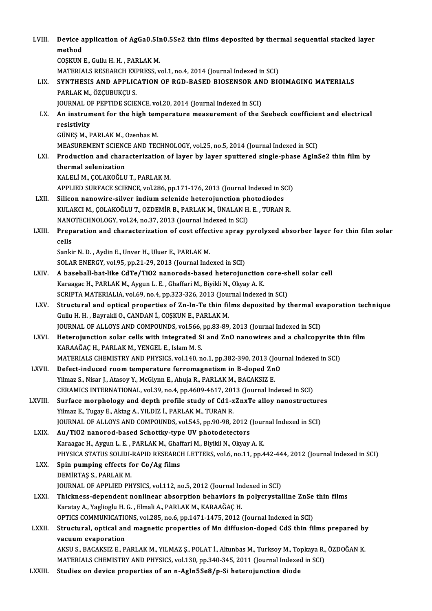| LVIII.       | Device application of AgGa0.5In0.5Se2 thin films deposited by thermal sequential stacked layer<br>method                                          |
|--------------|---------------------------------------------------------------------------------------------------------------------------------------------------|
|              | COȘKUN E., Gullu H. H., PARLAK M.                                                                                                                 |
|              | MATERIALS RESEARCH EXPRESS, vol.1, no.4, 2014 (Journal Indexed in SCI)                                                                            |
| LIX.         | SYNTHESIS AND APPLICATION OF RGD-BASED BIOSENSOR AND BIOIMAGING MATERIALS                                                                         |
|              | PARLAK M., ÖZÇUBUKÇU S.                                                                                                                           |
|              | JOURNAL OF PEPTIDE SCIENCE, vol.20, 2014 (Journal Indexed in SCI)                                                                                 |
| LX.          | An instrument for the high temperature measurement of the Seebeck coefficient and electrical<br>resistivity                                       |
|              | GÜNEŞ M., PARLAK M., Ozenbas M.                                                                                                                   |
|              | MEASUREMENT SCIENCE AND TECHNOLOGY, vol.25, no.5, 2014 (Journal Indexed in SCI)                                                                   |
| LXI.         | Production and characterization of layer by layer sputtered single-phase AgInSe2 thin film by                                                     |
|              | thermal selenization                                                                                                                              |
|              | KALELİ M., ÇOLAKOĞLU T., PARLAK M.                                                                                                                |
| LXII.        | APPLIED SURFACE SCIENCE, vol.286, pp.171-176, 2013 (Journal Indexed in SCI)<br>Silicon nanowire-silver indium selenide heterojunction photodiodes |
|              | KULAKCI M., ÇOLAKOĞLU T., OZDEMİR B., PARLAK M., ÜNALAN H. E. , TURAN R.                                                                          |
|              | NANOTECHNOLOGY, vol.24, no.37, 2013 (Journal Indexed in SCI)                                                                                      |
| LXIII.       | Preparation and characterization of cost effective spray pyrolyzed absorber layer for thin film solar                                             |
|              | cells                                                                                                                                             |
|              | Sankir N. D., Aydin E., Unver H., Uluer E., PARLAK M.                                                                                             |
|              | SOLAR ENERGY, vol.95, pp.21-29, 2013 (Journal Indexed in SCI)                                                                                     |
| LXIV.        | A baseball-bat-like CdTe/TiO2 nanorods-based heterojunction core-shell solar cell                                                                 |
|              | Karaagac H., PARLAK M., Aygun L. E., Ghaffari M., Biyikli N., Okyay A. K.                                                                         |
|              | SCRIPTA MATERIALIA, vol.69, no.4, pp.323-326, 2013 (Journal Indexed in SCI)                                                                       |
| LXV.         | Structural and optical properties of Zn-In-Te thin films deposited by thermal evaporation technique                                               |
|              | Gullu H. H., Bayrakli O., CANDAN İ., COŞKUN E., PARLAK M.                                                                                         |
|              | JOURNAL OF ALLOYS AND COMPOUNDS, vol.566, pp.83-89, 2013 (Journal Indexed in SCI)                                                                 |
| <b>LXVI</b>  | Heterojunction solar cells with integrated Si and ZnO nanowires and a chalcopyrite thin film                                                      |
|              | KARAAĞAÇ H., PARLAK M., YENGEL E., Islam M. S.<br>MATERIALS CHEMISTRY AND PHYSICS, vol.140, no.1, pp.382-390, 2013 (Journal Indexed in SCI)       |
| LXVII.       | Defect-induced room temperature ferromagnetism in B-doped ZnO                                                                                     |
|              | Yilmaz S., Nisar J., Atasoy Y., McGlynn E., Ahuja R., PARLAK M., BACAKSIZ E.                                                                      |
|              | CERAMICS INTERNATIONAL, vol.39, no.4, pp.4609-4617, 2013 (Journal Indexed in SCI)                                                                 |
| LXVIII.      | Surface morphology and depth profile study of Cd1-xZnxTe alloy nanostructures                                                                     |
|              | Yilmaz E., Tugay E., Aktag A., YILDIZ İ., PARLAK M., TURAN R.                                                                                     |
|              | JOURNAL OF ALLOYS AND COMPOUNDS, vol.545, pp.90-98, 2012 (Journal Indexed in SCI)                                                                 |
| LXIX.        | Au/TiO2 nanorod-based Schottky-type UV photodetectors                                                                                             |
|              | Karaagac H., Aygun L. E., PARLAK M., Ghaffari M., Biyikli N., Okyay A. K.                                                                         |
|              | PHYSICA STATUS SOLIDI-RAPID RESEARCH LETTERS, vol.6, no.11, pp.442-444, 2012 (Journal Indexed in SCI)                                             |
| LXX.         | Spin pumping effects for Co/Ag films<br>DEMIRTAS S., PARLAK M.                                                                                    |
|              | JOURNAL OF APPLIED PHYSICS, vol.112, no.5, 2012 (Journal Indexed in SCI)                                                                          |
| LXXI.        | Thickness-dependent nonlinear absorption behaviors in polycrystalline ZnSe thin films                                                             |
|              | Karatay A., Yaglioglu H. G., Elmali A., PARLAK M., KARAAĞAÇ H.                                                                                    |
|              | OPTICS COMMUNICATIONS, vol.285, no.6, pp.1471-1475, 2012 (Journal Indexed in SCI)                                                                 |
| <b>LXXII</b> | Structural, optical and magnetic properties of Mn diffusion-doped CdS thin films prepared by                                                      |
|              | vacuum evaporation                                                                                                                                |
|              | AKSU S., BACAKSIZ E., PARLAK M., YILMAZ Ş., POLAT İ., Altunbas M., Turksoy M., Topkaya R., ÖZDOĞAN K.                                             |
|              | MATERIALS CHEMISTRY AND PHYSICS, vol.130, pp.340-345, 2011 (Journal Indexed in SCI)                                                               |
| LXXIII.      | Studies on device properties of an n-AgIn5Se8/p-Si heterojunction diode                                                                           |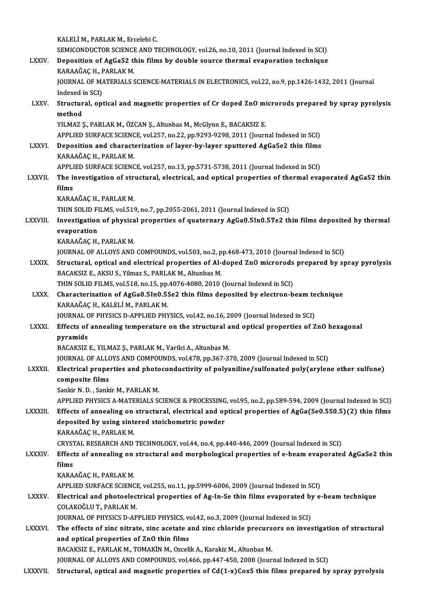|                 | KALELİM, PARLAK M, Ercelebi C.                                                                                                                                                                                      |
|-----------------|---------------------------------------------------------------------------------------------------------------------------------------------------------------------------------------------------------------------|
|                 | SEMICONDUCTOR SCIENCE AND TECHNOLOGY, vol.26, no.10, 2011 (Journal Indexed in SCI)                                                                                                                                  |
| <b>LXXIV</b>    | Deposition of AgGaS2 thin films by double source thermal evaporation technique                                                                                                                                      |
|                 | KARAAĞAÇ H., PARLAK M.                                                                                                                                                                                              |
|                 | JOURNAL OF MATERIALS SCIENCE-MATERIALS IN ELECTRONICS, vol.22, no.9, pp.1426-1432, 2011 (Journal                                                                                                                    |
| <b>LXXV</b>     | Indexed in SCI)                                                                                                                                                                                                     |
|                 | Structural, optical and magnetic properties of Cr doped ZnO microrods prepared by spray pyrolysis<br>method                                                                                                         |
|                 | YILMAZ Ş., PARLAK M., ÖZCAN Ş., Altunbas M., McGlynn E., BACAKSIZ E.                                                                                                                                                |
|                 | APPLIED SURFACE SCIENCE, vol.257, no.22, pp.9293-9298, 2011 (Journal Indexed in SCI)                                                                                                                                |
| <b>LXXVI</b> .  | Deposition and characterization of layer-by-layer sputtered AgGaSe2 thin films                                                                                                                                      |
|                 | KARAAĞAÇ H., PARLAK M.                                                                                                                                                                                              |
|                 | APPLIED SURFACE SCIENCE, vol.257, no.13, pp.5731-5738, 2011 (Journal Indexed in SCI)                                                                                                                                |
| <b>LXXVII</b>   | The investigation of structural, electrical, and optical properties of thermal evaporated AgGaS2 thin                                                                                                               |
|                 | films                                                                                                                                                                                                               |
|                 | KARAAĞAÇ H., PARLAK M.                                                                                                                                                                                              |
| LXXVIII.        | THIN SOLID FILMS, vol.519, no.7, pp.2055-2061, 2011 (Journal Indexed in SCI)<br>Investigation of physical properties of quaternary AgGa0.5In0.5Te2 thin films deposited by thermal                                  |
|                 | evaporation                                                                                                                                                                                                         |
|                 | KARAAĞAÇ H., PARLAK M.                                                                                                                                                                                              |
|                 | JOURNAL OF ALLOYS AND COMPOUNDS, vol.503, no.2, pp.468-473, 2010 (Journal Indexed in SCI)                                                                                                                           |
| <b>LXXIX</b>    | Structural, optical and electrical properties of Al-doped ZnO microrods prepared by spray pyrolysis                                                                                                                 |
|                 | BACAKSIZ E., AKSU S., Yilmaz S., PARLAK M., Altunbas M.                                                                                                                                                             |
|                 | THIN SOLID FILMS, vol 518, no.15, pp.4076-4080, 2010 (Journal Indexed in SCI)                                                                                                                                       |
| <b>LXXX</b>     | Characterization of AgGa0.5In0.5Se2 thin films deposited by electron-beam technique                                                                                                                                 |
|                 | KARAAĞAÇ H., KALELİ M., PARLAK M.<br>JOURNAL OF PHYSICS D-APPLIED PHYSICS, vol.42, no.16, 2009 (Journal Indexed in SCI)                                                                                             |
| <b>LXXXI</b>    | Effects of annealing temperature on the structural and optical properties of ZnO hexagonal                                                                                                                          |
|                 | nvramids                                                                                                                                                                                                            |
|                 | BACAKSIZ E., YILMAZ Ş., PARLAK M., Varilci A., Altunbas M.                                                                                                                                                          |
|                 | JOURNAL OF ALLOYS AND COMPOUNDS, vol.478, pp.367-370, 2009 (Journal Indexed in SCI)                                                                                                                                 |
| <b>LXXXII</b>   | Electrical properties and photoconductivity of polyaniline/sulfonated poly(arylene ether sulfone)                                                                                                                   |
|                 | composite films                                                                                                                                                                                                     |
|                 | Sankir N. D., Sankir M., PARLAK M.                                                                                                                                                                                  |
| LXXXIII.        | APPLIED PHYSICS A-MATERIALS SCIENCE & PROCESSING, vol.95, no.2, pp.589-594, 2009 (Journal Indexed in SCI)<br>Effects of annealing on structural, electrical and optical properties of AgGa(Se0.5S0.5)(2) thin films |
|                 | deposited by using sintered stoichometric powder                                                                                                                                                                    |
|                 | KARAAĞAÇ H., PARLAK M.                                                                                                                                                                                              |
|                 | CRYSTAL RESEARCH AND TECHNOLOGY, vol.44, no.4, pp.440-446, 2009 (Journal Indexed in SCI)                                                                                                                            |
| <b>LXXXIV</b>   | Effects of annealing on structural and morphological properties of e-beam evaporated AgGaSe2 thin                                                                                                                   |
|                 | films                                                                                                                                                                                                               |
|                 | KARAAĞAÇ H., PARLAK M.                                                                                                                                                                                              |
|                 | APPLIED SURFACE SCIENCE, vol.255, no.11, pp.5999-6006, 2009 (Journal Indexed in SCI)                                                                                                                                |
| LXXXV.          | Electrical and photoelectrical properties of Ag-In-Se thin films evaporated by e-beam technique<br>ÇOLAKOĞLU T, PARLAK M.                                                                                           |
|                 | JOURNAL OF PHYSICS D-APPLIED PHYSICS, vol.42, no.3, 2009 (Journal Indexed in SCI)                                                                                                                                   |
| LXXXVI.         | The effects of zinc nitrate, zinc acetate and zinc chloride precursors on investigation of structural                                                                                                               |
|                 | and optical properties of ZnO thin films                                                                                                                                                                            |
|                 | BACAKSIZ E., PARLAK M., TOMAKİN M., Ozcelik A., Karakiz M., Altunbas M.                                                                                                                                             |
|                 | JOURNAL OF ALLOYS AND COMPOUNDS, vol.466, pp.447-450, 2008 (Journal Indexed in SCI)                                                                                                                                 |
| <b>LXXXVII.</b> | Structural, optical and magnetic properties of Cd(1-x)CoxS thin films prepared by spray pyrolysis                                                                                                                   |
|                 |                                                                                                                                                                                                                     |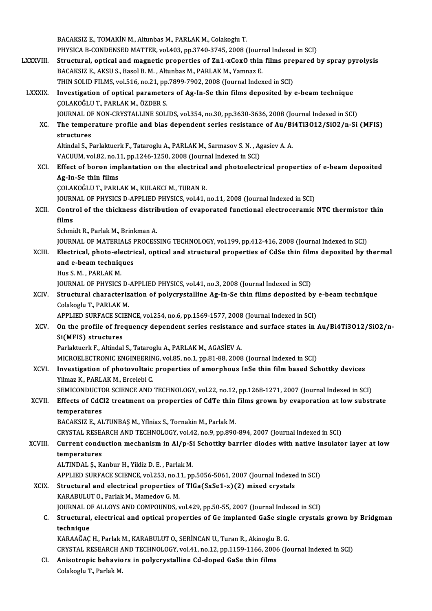|               | BACAKSIZ E., TOMAKİN M., Altunbas M., PARLAK M., Colakoglu T.                                           |
|---------------|---------------------------------------------------------------------------------------------------------|
|               | PHYSICA B-CONDENSED MATTER, vol.403, pp.3740-3745, 2008 (Journal Indexed in SCI)                        |
| LXXXVIII.     | Structural, optical and magnetic properties of Zn1-xCoxO thin films prepared by spray pyrolysis         |
|               | BACAKSIZ E., AKSU S., Basol B. M., Altunbas M., PARLAK M., Yamnaz E.                                    |
|               | THIN SOLID FILMS, vol.516, no.21, pp.7899-7902, 2008 (Journal Indexed in SCI)                           |
| <b>LXXXIX</b> | Investigation of optical parameters of Ag-In-Se thin films deposited by e-beam technique                |
|               | ÇOLAKOĞLU T., PARLAK M., ÖZDER S.                                                                       |
|               | JOURNAL OF NON-CRYSTALLINE SOLIDS, vol.354, no.30, pp.3630-3636, 2008 (Journal Indexed in SCI)          |
| XC.           | The temperature profile and bias dependent series resistance of Au/Bi4Ti3O12/SiO2/n-Si (MFIS)           |
|               | structures                                                                                              |
|               | Altindal S., Parlaktuerk F., Tataroglu A., PARLAK M., Sarmasov S. N., Agasiev A. A.                     |
|               | VACUUM, vol.82, no.11, pp.1246-1250, 2008 (Journal Indexed in SCI)                                      |
| XCI.          | Effect of boron implantation on the electrical and photoelectrical properties of e-beam deposited       |
|               | Ag-In-Se thin films                                                                                     |
|               | ÇOLAKOĞLU T., PARLAK M., KULAKCI M., TURAN R.                                                           |
|               | JOURNAL OF PHYSICS D-APPLIED PHYSICS, vol.41, no.11, 2008 (Journal Indexed in SCI)                      |
| XCII.         | Control of the thickness distribution of evaporated functional electroceramic NTC thermistor thin       |
|               | films                                                                                                   |
|               | Schmidt R., Parlak M., Brinkman A.                                                                      |
|               | JOURNAL OF MATERIALS PROCESSING TECHNOLOGY, vol.199, pp.412-416, 2008 (Journal Indexed in SCI)          |
| XCIII.        | Electrical, photo-electrical, optical and structural properties of CdSe thin films deposited by thermal |
|               | and e-beam techniques                                                                                   |
|               | Hus S. M., PARLAK M.                                                                                    |
|               | JOURNAL OF PHYSICS D-APPLIED PHYSICS, vol.41, no.3, 2008 (Journal Indexed in SCI)                       |
| XCIV.         | Structural characterization of polycrystalline Ag-In-Se thin films deposited by e-beam technique        |
|               | Colakoglu T, PARLAK M.                                                                                  |
|               | APPLIED SURFACE SCIENCE, vol.254, no.6, pp.1569-1577, 2008 (Journal Indexed in SCI)                     |
| XCV.          | On the profile of frequency dependent series resistance and surface states in Au/Bi4Ti3O12/SiO2/n-      |
|               | Si(MFIS) structures                                                                                     |
|               | Parlaktuerk F., Altindal S., Tataroglu A., PARLAK M., AGASİEV A.                                        |
|               | MICROELECTRONIC ENGINEERING, vol.85, no.1, pp.81-88, 2008 (Journal Indexed in SCI)                      |
| XCVI.         | Investigation of photovoltaic properties of amorphous InSe thin film based Schottky devices             |
|               | Yilmaz K., PARLAK M., Ercelebi C.                                                                       |
|               | SEMICONDUCTOR SCIENCE AND TECHNOLOGY, vol.22, no.12, pp.1268-1271, 2007 (Journal Indexed in SCI)        |
| XCVII.        | Effects of CdCl2 treatment on properties of CdTe thin films grown by evaporation at low substrate       |
|               | temperatures<br>BACAKSIZ E., ALTUNBAŞ M., Yflniaz S., Tornakin M., Parlak M.                            |
|               | CRYSTAL RESEARCH AND TECHNOLOGY, vol.42, no.9, pp.890-894, 2007 (Journal Indexed in SCI)                |
| XCVIII.       | Current conduction mechanism in Al/p-Si Schottky barrier diodes with native insulator layer at low      |
|               | temperatures                                                                                            |
|               | ALTINDAL Ş., Kanbur H., Yildiz D. E., Parlak M.                                                         |
|               | APPLIED SURFACE SCIENCE, vol.253, no.11, pp.5056-5061, 2007 (Journal Indexed in SCI)                    |
| XCIX.         | Structural and electrical properties of TlGa(SxSe1-x)(2) mixed crystals                                 |
|               | KARABULUT O., Parlak M., Mamedov G. M.                                                                  |
|               | JOURNAL OF ALLOYS AND COMPOUNDS, vol.429, pp.50-55, 2007 (Journal Indexed in SCI)                       |
| C.            | Structural, electrical and optical properties of Ge implanted GaSe single crystals grown by Bridgman    |
|               | technique                                                                                               |
|               | KARAAĞAÇ H., Parlak M., KARABULUT O., SERİNCAN U., Turan R., Akinoglu B. G.                             |
|               | CRYSTAL RESEARCH AND TECHNOLOGY, vol.41, no.12, pp.1159-1166, 2006 (Journal Indexed in SCI)             |
| CI.           | Anisotropic behaviors in polycrystalline Cd-doped GaSe thin films                                       |
|               | Colakoglu T., Parlak M.                                                                                 |
|               |                                                                                                         |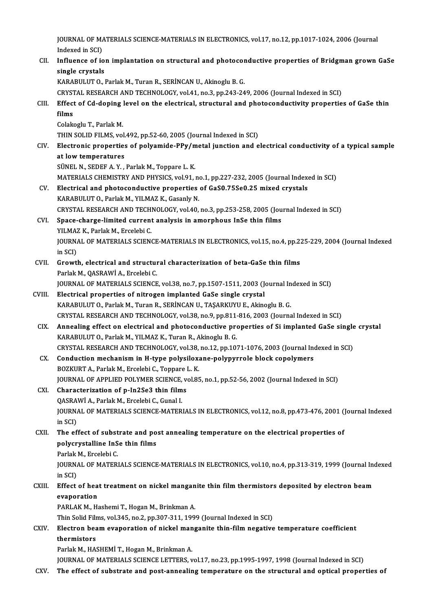JOURNAL OF MATERIALS SCIENCE-MATERIALS IN ELECTRONICS, vol.17, no.12, pp.1017-1024, 2006 (Journal<br>Indexed in SCD **JOURNAL OF MAN**<br>Indexed in SCI)<br>Influence of is JOURNAL OF MATERIALS SCIENCE-MATERIALS IN ELECTRONICS, vol.17, no.12, pp.1017-1024, 2006 (Journal<br>Indexed in SCI)<br>CII. Influence of ion implantation on structural and photoconductive properties of Bridgman grown GaSe<br>singl

## Indexed in SCI)<br>CII. Influence of ion implantation on structural and photoconductive properties of Bridgman grown GaSe<br>single crystals KARABULUTO., Parlak M., Turan R., SERİNCAN U., Akinoglu B. G.

CRYSTALRESEARCHANDTECHNOLOGY,vol.41,no.3,pp.243-249,2006 (Journal Indexed inSCI)

## KARABULUT O., Parlak M., Turan R., SERİNCAN U., Akinoglu B. G.<br>CRYSTAL RESEARCH AND TECHNOLOGY, vol.41, no.3, pp.243-249, 2006 (Journal Indexed in SCI)<br>CIII. Effect of Cd-doping level on the electrical, structural and phot CRYST<br><mark>Effect</mark><br>films<br>Colak Effect of Cd-doping<br>films<br>Colakoglu T., Parlak M.<br>THIN SOLID FILMS WO

- films<br>Colakoglu T., Parlak M.<br>THIN SOLID FILMS, vol.492, pp.52-60, 2005 (Journal Indexed in SCI) Colakoglu T., Parlak M.<br>THIN SOLID FILMS, vol.492, pp.52-60, 2005 (Journal Indexed in SCI)<br>CIV. Electronic properties of polyamide-PPy/metal junction and electrical conductivity of a typical sample<br>at low temperatures THIN SOLID FILMS, vol.<br>Electronic properties<br>at low temperatures<br>SÜNEL N. SEDEE A. Y
	- Electronic properties of polyamide-PPy/m<br>at low temperatures<br>SÜNEL N., SEDEF A. Y. , Parlak M., Toppare L. K.<br>MATEPIALS CHEMISTRY AND PHYSICS vol.01 at low temperatures<br>SÜNEL N., SEDEF A. Y. , Parlak M., Toppare L. K.<br>MATERIALS CHEMISTRY AND PHYSICS, vol.91, no.1, pp.227-232, 2005 (Journal Indexed in SCI)<br>Electrical and photosondustive proporties of CeS0 75500.25 mixed

SÜNEL N., SEDEF A. Y. , Parlak M., Toppare L. K.<br>MATERIALS CHEMISTRY AND PHYSICS, vol.91, no.1, pp.227-232, 2005 (Journal Indexent)<br>CV. Electrical and photoconductive properties of GaS0.75Se0.25 mixed crystals<br>KARAPULUTO, MATERIALS CHEMISTRY AND PHYSICS, vol.91, no<br>Electrical and photoconductive properties<br>KARABULUT O., Parlak M., YILMAZ K., Gasanly N.<br>CRYSTAL RESEARCH AND TECHNOLOCY vol.40. Electrical and photoconductive properties of GaS0.75Se0.25 mixed crystals<br>KARABULUT 0., Parlak M., YILMAZ K., Gasanly N.<br>CRYSTAL RESEARCH AND TECHNOLOGY, vol.40, no.3, pp.253-258, 2005 (Journal Indexed in SCI)<br>Spees sharge KARABULUT O., Parlak M., YILMAZ K., Gasanly N.<br>CRYSTAL RESEARCH AND TECHNOLOGY, vol.40, no.3, pp.253-258, 2005 (Jou<br>CVI. Space-charge-limited current analysis in amorphous InSe thin films<br>YILMAZ K., Parlak M., Ercelebi C.

## CRYSTAL RESEARCH AND TECH<br>Space-charge-limited current<br>YILMAZ K., Parlak M., Ercelebi C.<br>JOUPNAL OF MATEDIALS SCIEN Space-charge-limited current analysis in amorphous InSe thin films<br>YILMAZ K., Parlak M., Ercelebi C.<br>JOURNAL OF MATERIALS SCIENCE-MATERIALS IN ELECTRONICS, vol.15, no.4, pp.225-229, 2004 (Journal Indexed<br>in SCD YILMAZ<br>JOURNA<br>in SCI)<br>Crowtl

- JOURNAL OF MATERIALS SCIENCE-MATERIALS IN ELECTRONICS, vol.15, no.4, pp.22<br>in SCI)<br>CVII. Growth, electrical and structural characterization of beta-GaSe thin films<br>Parlak M. OASPAWI A. Freelabi C in SCI)<br>CVII. Growth, electrical and structural characterization of beta-GaSe thin films<br>Parlak M., QASRAWİ A., Ercelebi C. Growth, electrical and structural characterization of beta-GaSe thin films<br>Parlak M., QASRAWİ A., Ercelebi C.<br>JOURNAL OF MATERIALS SCIENCE, vol.38, no.7, pp.1507-1511, 2003 (Journal Indexed in SCI)<br>Flectrical proporties of
	-
- CVIII. Electrical properties of nitrogen implanted GaSe single crystal<br>KARABULUT O., Parlak M., Turan R., SERİNCAN U., TAŞARKUYU E., Akinoglu B. G. JOURNAL OF MATERIALS SCIENCE, vol.38, no.7, pp.1507-1511, 2003 (Journal In<br>Electrical properties of nitrogen implanted GaSe single crystal<br>KARABULUT O., Parlak M., Turan R., SERİNCAN U., TAŞARKUYU E., Akinoglu B. G.<br>CRYSTA CRYSTALRESEARCHANDTECHNOLOGY,vol.38,no.9,pp.811-816,2003 (Journal Indexed inSCI) KARABULUT O., Parlak M., Turan R., SERINCAN U., TAŞARKUYU E., Akinoglu B. G.<br>CRYSTAL RESEARCH AND TECHNOLOGY, vol.38, no.9, pp.811-816, 2003 (Journal Indexed in SCI)<br>CIX. Annealing effect on electrical and photoconductive
	- KARABULUT O., Parlak M., YILMAZ K., Turan R., Akinoglu B. G. Annealing effect on electrical and photoconductive properties of Si implanted GaSe single<br>KARABULUT O., Parlak M., YILMAZ K., Turan R., Akinoglu B. G.<br>CRYSTAL RESEARCH AND TECHNOLOGY, vol.38, no.12, pp.1071-1076, 2003 (Jou CRYSTAL RESEARCH AND TECHNOLOGY, vol.38, no.12, pp.1071-1076, 2003 (Journal Indexed in SCI)
	- CX. Conduction mechanism in H-type polysiloxane-polypyrrole block copolymers<br>BOZKURT A., Parlak M., Ercelebi C., Toppare L. K. Conduction mechanism in H-type polysiloxane-polypyrrole block copolymers<br>BOZKURT A., Parlak M., Ercelebi C., Toppare L. K.<br>JOURNAL OF APPLIED POLYMER SCIENCE, vol.85, no.1, pp.52-56, 2002 (Journal Indexed in SCI)<br>Character BOZKURT A., Parlak M., Ercelebi C., Toppare J<br>JOURNAL OF APPLIED POLYMER SCIENCE, v<br>CXI. Characterization of p-In2Se3 thin films

## JOURNAL OF APPLIED POLYMER SCIENCE,<br>Characterization of p-In2Se3 thin film<br>QASRAWİ A., Parlak M., Ercelebi C., Gunal I.<br>JOUPNAL OF MATERIALS SCIENCE MATER CXI. Characterization of p-In2Se3 thin films<br>QASRAWİ A., Parlak M., Ercelebi C., Gunal I.<br>JOURNAL OF MATERIALS SCIENCE-MATERIALS IN ELECTRONICS, vol.12, no.8, pp.473-476, 2001 (Journal Indexed<br>in SCI) QASRAWİ A., Parlak M., Ercelebi C., Gunal I. JOURNAL OF MATERIALS SCIENCE-MATERIALS IN ELECTRONICS, vol.12, no.8, pp.473-476, 2001 (<br>in SCI)<br>CXII. The effect of substrate and post annealing temperature on the electrical properties of<br>noluseyetalling InSe thin films

## in SCI)<br>The effect of substrate and po<br>polycrystalline InSe thin films<br>Parlak M. Excelebi C The effect of subst<br>polycrystalline InS<br>Parlak M., Ercelebi C.<br>JOUPMAL OF MATER!

polycrystalline InSe thin films<br>Parlak M., Ercelebi C.<br>JOURNAL OF MATERIALS SCIENCE-MATERIALS IN ELECTRONICS, vol.10, no.4, pp.313-319, 1999 (Journal Indexed<br>in SCD Parlak<br>JOURNA<br>in SCI)<br>Effect JOURNAL OF MATERIALS SCIENCE-MATERIALS IN ELECTRONICS, vol.10, no.4, pp.313-319, 1999 (Journal Ind<br>in SCI)<br>CXIII. Effect of heat treatment on nickel manganite thin film thermistors deposited by electron beam

## in SCI)<br><mark>Effect of hea</mark><br>evaporation<br>PAPI AK M - H Effect of heat treatment on nickel mangan<br>evaporation<br>PARLAK M., Hashemi T., Hogan M., Brinkman A.<br>Thin Solid Eilme vol 245, no 2, nn 207, 211, 199. e<mark>vaporation</mark><br>PARLAK M., Hashemi T., Hogan M., Brinkman A.<br>Thin Solid Films, vol.345, no.2, pp.307-311, 1999 (Journal Indexed in SCI)<br>Flestren heam eveneration of nickel mengenite thin film negative

### PARLAK M., Hashemi T., Hogan M., Brinkman A.<br>Thin Solid Films, vol.345, no.2, pp.307-311, 1999 (Journal Indexed in SCI)<br>CXIV. Electron beam evaporation of nickel manganite thin-film negative temperature coefficient<br>thermis Thin Solid Film<br>Electron bea<br>thermistors<br>Porlak M. HA! Electron beam evaporation of nickel man<br>thermistors<br>Parlak M., HASHEMİ T., Hogan M., Brinkman A.<br>JOUPMAL OF MATERIALS SCIENCE LETTERS thermistors<br>Parlak M., HASHEMİ T., Hogan M., Brinkman A.<br>JOURNAL OF MATERIALS SCIENCE LETTERS, vol.17, no.23, pp.1995-1997, 1998 (Journal Indexed in SCI)

CXV. The effect of substrate and post-annealing temperature on the structural and optical properties of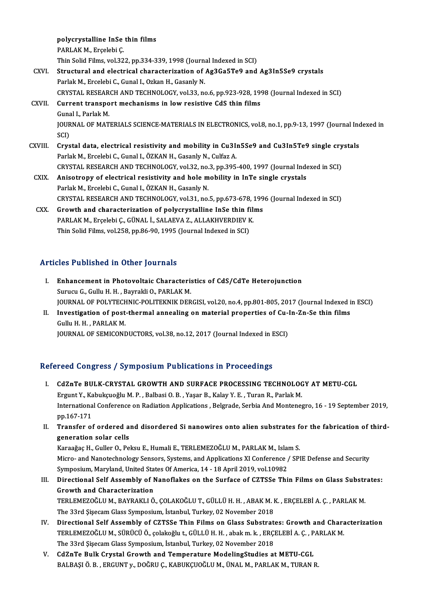polycrystalline InSe thin films<br>RARLAK M. Engelsbi C polycrystalline InSe<br>PARLAK M., Erçelebi Ç.<br>Thin Solid Films vol 22 polycrystalline InSe thin films<br>PARLAK M., Erçelebi Ç.<br>Thin Solid Films, vol.322, pp.334-339, 1998 (Journal Indexed in SCI)<br>Structural and electrical characterization of Ac2Ce5TeQ and PARLAK M., Erçelebi Ç.<br>Thin Solid Films, vol.322, pp.334-339, 1998 (Journal Indexed in SCI)<br>CXVI. Structural and electrical characterization of Ag3Ga5Te9 and Ag3In5Se9 crystals<br>Parlak M., Ercelebi C., Gunal I., Ozkan H., G Thin Solid Films, vol.322, pp.334-339, 1998 (Journa<br>Structural and electrical characterization of .<br>Parlak M., Ercelebi C., Gunal I., Ozkan H., Gasanly N.<br>CRYSTAL RESEARCH AND TECHNOLOCY vol.33, no CRYSTALRESEARCHANDTECHNOLOGY,vol.33,no.6,pp.923-928,1998 (Journal Indexed inSCI) Parlak M., Ercelebi C., Gunal I., Ozkan H., Gasanly N.<br>CRYSTAL RESEARCH AND TECHNOLOGY, vol.33, no.6, pp.923-928, 199<br>CXVII. Current transport mechanisms in low resistive CdS thin films<br>Cunal L. Barlak M. CRYSTAL RESEAR<br>Current transpo<br>Gunal I., Parlak M.<br>JOUPNAL OF MAT Current transport mechanisms in low resistive CdS thin films<br>Gunal I., Parlak M.<br>JOURNAL OF MATERIALS SCIENCE-MATERIALS IN ELECTRONICS, vol.8, no.1, pp.9-13, 1997 (Journal Indexed in<br>SCD Guna<br>JOUR<br>SCI)<br>Grys JOURNAL OF MATERIALS SCIENCE-MATERIALS IN ELECTRONICS, vol.8, no.1, pp.9-13, 1997 (Journal Inc<br>SCI)<br>CXVIII. Crystal data, electrical resistivity and mobility in Cu3In5Se9 and Cu3In5Te9 single crystals<br>Rarlak M. Excelsbi C. SCI)<br>Crystal data, electrical resistivity and mobility in Cu3I<sub>I</sub><br>Parlak M., Ercelebi C., Gunal I., ÖZKAN H., Gasanly N., Culfaz A.<br>CRYSTAL RESEARCH AND TECHNOLOCY vol 33. no.3. np.305 Crystal data, electrical resistivity and mobility in Cu3In5Se9 and Cu3In5Te9 single cry<br>Parlak M., Ercelebi C., Gunal I., ÖZKAN H., Gasanly N., Culfaz A.<br>CRYSTAL RESEARCH AND TECHNOLOGY, vol.32, no.3, pp.395-400, 1997 (Jou Parlak M., Ercelebi C., Gunal I., ÖZKAN H., Gasanly N., Culfaz A.<br>CRYSTAL RESEARCH AND TECHNOLOGY, vol.32, no.3, pp.395-400, 1997 (Journal Inde<br>CXIX. Anisotropy of electrical resistivity and hole mobility in InTe single cr CRYSTAL RESEARCH AND TECHNOLOGY, vol.32, no.<br>Anisotropy of electrical resistivity and hole m<br>Parlak M., Ercelebi C., Gunal I., ÖZKAN H., Gasanly N.<br>CRYSTAL RESEARCH AND TECHNOLOGY vol.31, no. Anisotropy of electrical resistivity and hole mobility in InTe single crystals<br>Parlak M., Ercelebi C., Gunal I., ÖZKAN H., Gasanly N.<br>CRYSTAL RESEARCH AND TECHNOLOGY, vol.31, no.5, pp.673-678, 1996 (Journal Indexed in SCI)

Parlak M., Ercelebi C., Gunal I., ÖZKAN H., Gasanly N.<br>CRYSTAL RESEARCH AND TECHNOLOGY, vol.31, no.5, pp.673-678, 199<br>CXX. Growth and characterization of polycrystalline InSe thin films<br>RABLAK M. Excelsbi G. GÜNAL L. SALAE CRYSTAL RESEARCH AND TECHNOLOGY, vol.31, no.5, pp.673-678, 2<br>Growth and characterization of polycrystalline InSe thin fil:<br>PARLAK M., Erçelebi Ç., GÜNAL İ., SALAEVA Z., ALLAKHVERDIEV K.<br>Thin Solid Eilms vol.358, np.86,99, Growth and characterization of polycrystalline InSe thin fi<br>PARLAK M., Erçelebi Ç., GÜNAL İ., SALAEVA Z., ALLAKHVERDIEV K<br>Thin Solid Films, vol.258, pp.86-90, 1995 (Journal Indexed in SCI)

# Thin Solid Films, vol.258, pp.86-90, 1995 (Journal Indexed in SCI)<br>Articles Published in Other Journals

- rticles Published in Other Journals<br>I. Enhancement in Photovoltaic Characteristics of CdS/CdTe Heterojunction<br>Survey C. Cully H. H. Boyrakli O. BARLAK M Surucu G., Guluhamed III. Other Journalis<br>Surucu G., Gullu H. H., Bayrakli O., PARLAK M.<br>JOUPMAL OF POLYTECHNIC POLITEKNIK DEP Enhancement in Photovoltaic Characteristics of CdS/CdTe Heterojunction<br>Surucu G., Gullu H. H. , Bayrakli O., PARLAK M.<br>JOURNAL OF POLYTECHNIC-POLITEKNIK DERGISI, vol.20, no.4, pp.801-805, 2017 (Journal Indexed in ESCI)<br>Inv Surucu G., Gullu H. H. , Bayrakli O., PARLAK M.<br>JOURNAL OF POLYTECHNIC-POLITEKNIK DERGISI, vol.20, no.4, pp.801-805, 2017 (Journal Indexed i<br>II. Investigation of post-thermal annealing on material properties of Cu-In-Zn-Se
- **JOURNAL OF POLYTECH<br>Investigation of post-<br>Gullu H. H. , PARLAK M.<br>JOUPNAL OF SEMICONT** Investigation of post-thermal annealing on material properties of Cu-|<br>Gullu H. H. , PARLAK M.<br>JOURNAL OF SEMICONDUCTORS, vol.38, no.12, 2017 (Journal Indexed in ESCI)

# JOURNAL OF SEMICONDUCTORS, vol.38, no.12, 2017 (Journal Indexed in ESCI)<br>Refereed Congress / Symposium Publications in Proceedings

- efereed Congress / Symposium Publications in Proceedings<br>I. CdZnTe BULK-CRYSTAL GROWTH AND SURFACE PROCESSING TECHNOLOGY AT METU-CGL<br>Fraunt Y. Kebukayeğlu M. B. Belbesi O. B. Vesen B. Kelay V. E. Turan B. Berlek M. Ergunt Y., Kabukçuoğlu M. P., Balbasi O. B., Yaşar B., Kalay Y. E., Turan R., Parlak M.<br>Ergunt Y., Kabukçuoğlu M. P., Balbasi O. B., Yaşar B., Kalay Y. E., Turan R., Parlak M.<br>International Conference on Padiation Applicat Ergunt Y., Kabukçuoğlu M. P. , Balbasi O. B. , Yaşar B., Kalay Y. E. , Turan R., Parlak M.<br>International Conference on Radiation Applications , Belgrade, Serbia And Montenegro, 16 - 19 September 2019, pp.167-171 International Conference on Radiation Applications , Belgrade, Serbia And Montenegro, 16 - 19 September 2019,<br>pp.167-171<br>II. Transfer of ordered and disordered Si nanowires onto alien substrates for the fabrication of thir
- pp.167-171<br>Transfer of ordered a<br>generation solar cells<br>Karaağas H. Guller O. Ba Transfer of ordered and disordered Si nanowires onto alien substrates f<br>generation solar cells<br>Karaağaç H., Guller O., Peksu E., Humali E., TERLEMEZOĞLU M., PARLAK M., Islam S.<br>Misro, and Nanotechnology Soncare Systems and

generation solar cells<br>Karaağaç H., Guller O., Peksu E., Humali E., TERLEMEZOĞLU M., PARLAK M., Islam S.<br>Micro- and Nanotechnology Sensors, Systems, and Applications XI Conference / SPIE Defense and Security<br>Symposium, Mar Karaağaç H., Guller O., Peksu E., Humali E., TERLEMEZOĞLU M., PARLAK M., Islam S. Micro- and Nanotechnology Sensors, Systems, and Applications XI Conference / SPIE Defense and Security<br>Symposium, Maryland, United States Of America, 14 - 18 April 2019, vol.10982<br>III. Directional Self Assembly of Nanoflak

- Symposium, Maryland, United Sta<br>Directional Self Assembly of M<br>Growth and Characterization<br>TEDLEMEZOČLUM, RAVRAKLLÖ Directional Self Assembly of Nanoflakes on the Surface of CZTSSe Thin Films on Glass Substr<br>Growth and Characterization<br>TERLEMEZOĞLU M., BAYRAKLI Ö., ÇOLAKOĞLU T., GÜLLÜ H. H. , ABAK M. K. , ERÇELEBİ A. Ç. , PARLAK M.<br>The Growth and Characterization<br>TERLEMEZOĞLU M., BAYRAKLI Ö., ÇOLAKOĞLU T., GÜLLÜ H. H. , ABAK M. K. , ERÇELEBİ A. Ç. , PARLAK M.<br>The 33rd Şişecam Glass Symposium, İstanbul, Turkey, 02 November 2018
- IV. Directional Self Assembly of CZTSSe Thin Films on Glass Substrates: Growth and Characterization The 33rd Şişecam Glass Symposium, İstanbul, Turkey, 02 November 2018<br>Directional Self Assembly of CZTSSe Thin Films on Glass Substrates: Growth and Chara<br>TERLEMEZOĞLU M., SÜRÜCÜ Ö., çolakoğlu t., GÜLLÜ H. H. , abak m. k. , Directional Self Assembly of CZTSSe Thin Films on Glass Substrate<br>TERLEMEZOĞLU M., SÜRÜCÜ Ö., çolakoğlu t., GÜLLÜ H. H. , abak m. k. , ERÇ.<br>The 33rd Şişecam Glass Symposium, İstanbul, Turkey, 02 November 2018<br>GdZnTe Bull: TERLEMEZOĞLU M., SÜRÜCÜ Ö., çolakoğlu t., GÜLLÜ H. H., abak m. k., ERÇELEBİ A. Ç., P.<br>The 33rd Şişecam Glass Symposium, İstanbul, Turkey, 02 November 2018<br>V. CdZnTe Bulk Crystal Growth and Temperature ModelingStudies at ME
- The 33rd Şişecam Glass Symposium, İstanbul, Turkey, 02 November 2018<br>V. CdZnTe Bulk Crystal Growth and Temperature ModelingStudies at METU-CGL<br>BALBAŞI Ö. B. , ERGUNT y., DOĞRU Ç., KABUKÇUOĞLU M., ÜNAL M., PARLAK M., TU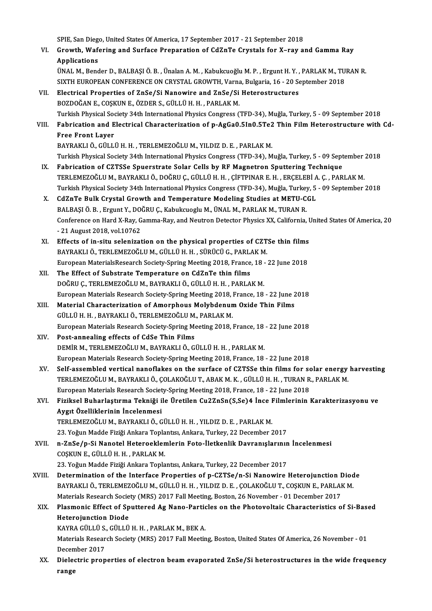SPIE, San Diego, United States Of America, 17 September 2017 - 21 September 2018<br>Crowth, Wafaring and Surface Proporation of Cd7rTe Crystals for Y, ray of

VI. Growth,Wafering and Surface Preparation of CdZnTe Crystals for X–ray and Gamma Ray **SPIE, San Diego<br>Growth, Wafe<br>Applications** Growth, Wafering and Surface Preparation of CdZnTe Crystals for X–ray and Gamma Ray<br>Applications<br>ÜNAL M., Bender D., BALBAŞI Ö. B. , Ünalan A. M. , Kabukcuoğlu M. P. , Ergunt H. Y. , PARLAK M., TURAN R.<br>SIVTH EUROPEAN CONE

```
Applications<br>ÜNAL M., Bender D., BALBAŞI Ö. B. , Ünalan A. M. , Kabukcuoğlu M. P. , Ergunt H. Y. , PARLAK M., TU<br>SIXTH EUROPEAN CONFERENCE ON CRYSTAL GROWTH, Varna, Bulgaria, 16 - 20 September 2018<br>Flastrisal Properties of
SIXTH EUROPEAN CONFERENCE ON CRYSTAL GROWTH, Varna, Bulgaria, 16 - 20 September 2018<br>VII. Electrical Properties of ZnSe/Si Nanowire and ZnSe/Si Heterostructures
```
- BOZDOĞAN E., COŞKUN E., ÖZDER S., GÜLLÜ H.H., PARLAKM. Turkish Physical Society 34th International Physics Congress (TFD-34), Muğla, Turkey, 5 - 09 September 2018 BOZDOĞAN E., COŞKUN E., ÖZDER S., GÜLLÜ H. H. , PARLAK M.<br>Turkish Physical Society 34th International Physics Congress (TFD-34), Muğla, Turkey, 5 - 09 September 2018<br>VIII. Fabrication and Electrical Characterization of
- **Turkish Physical Soom**<br>Fabrication and E<br>Free Front Layer<br>PAYPAKLLÖ CÜLL Fabrication and Electrical Characterization of p-AgGa0.5In0.5Te2<br>Free Front Layer<br>BAYRAKLI Ö., GÜLLÜ H. H. , TERLEMEZOĞLU M., YILDIZ D. E. , PARLAK M.<br>Turkich Physisal Sosiaty 24th International Physiss Congress (TED 24), Free Front Layer<br>BAYRAKLI Ö., GÜLLÜ H. H. , TERLEMEZOĞLU M., YILDIZ D. E. , PARLAK M.<br>Turkish Physical Society 34th International Physics Congress (TFD-34), Muğla, Turkey, 5 - 09 September 2018
- IX. Fabrication of CZTSSe Spuerstrate Solar Cells by RF Magnetron Sputtering Technique Turkish Physical Society 34th International Physics Congress (TFD-34), Muğla, Turkey, 5 - 09 September<br>Fabrication of CZTSSe Spuerstrate Solar Cells by RF Magnetron Sputtering Technique<br>Turkish Physical Society 24th Intern Fabrication of CZTSSe Spuerstrate Solar Cells by RF Magnetron Sputtering Technique<br>TERLEMEZOĞLU M., BAYRAKLI Ö., DOĞRU Ç., GÜLLÜ H. H. , ÇİFTPINAR E. H. , ERÇELEBİ A. Ç. , PARLAK M.<br>Turkish Physical Society 34th Internatio TERLEMEZOĞLU M., BAYRAKLI Ö., DOĞRU Ç., GÜLLÜ H. H., ÇİFTPINAR E. H., ERÇELEBİ A<br>Turkish Physical Society 34th International Physics Congress (TFD-34), Muğla, Turkey, 5<br>X. CdZnTe Bulk Crystal Growth and Temperature Modelin
- Turkish Physical Society 34th International Physics Congress (TFD-34), Muğla, Turkey<br>CdZnTe Bulk Crystal Growth and Temperature Modeling Studies at METU-C<br>BALBAŞI Ö. B. , Ergunt Y., DOĞRU Ç., Kabukcuoglu M., ÜNAL M., PARLA X. CdZnTe Bulk Crystal Growth and Temperature Modeling Studies at METU-CGL<br>BALBAŞI Ö. B. , Ergunt Y., DOĞRU Ç., Kabukcuoglu M., ÜNAL M., PARLAK M., TURAN R.<br>Conference on Hard X-Ray, Gamma-Ray, and Neutron Detector Physics BALBAŞI Ö. B., Ergunt Y., DOĞRU Ç., Kabukcuoglu M., ÜNAL M., PARLAK M., TURAN R. Conference on Hard X-Ray, Gamma-Ray, and Neutron Detector Physics XX, California, I<br>- 21 August 2018, vol.10762<br>XI. Effects of in-situ selenization on the physical properties of CZTSe thin films<br>BAVBAKLLÖ, TEPLEMEZOČLUM, C
- 21 August 2018, vol.10762<br>Effects of in-situ selenization on the physical properties of CZT<br>BAYRAKLI Ö., TERLEMEZOĞLU M., GÜLLÜ H. H. , SÜRÜCÜ G., PARLAK M.<br>European MaterialsPessarch Sosiety Spring Meeting 2019, Eranse Effects of in-situ selenization on the physical properties of CZTSe thin films<br>BAYRAKLI Ö., TERLEMEZOĞLU M., GÜLLÜ H. H. , SÜRÜCÜ G., PARLAK M.<br>European MaterialsResearch Society-Spring Meeting 2018, France, 18 - 22 June 2 BAYRAKLI Ö., TERLEMEZOĞLU M., GÜLLÜ H. H. , SÜRÜCÜ G., PARLAK M.<br>European MaterialsResearch Society-Spring Meeting 2018, France, 18 - 22 June 2018<br>XII. The Effect of Substrate Temperature on CdZnTe thin films
- DOĞRUÇ., TERLEMEZOĞLUM., BAYRAKLIÖ., GÜLLÜH.H. , PARLAKM. The Effect of Substrate Temperature on CdZnTe thin films<br>DOĞRU Ç., TERLEMEZOĞLU M., BAYRAKLI Ö., GÜLLÜ H. H. , PARLAK M.<br>European Materials Research Society-Spring Meeting 2018, France, 18 - 22 June 2018<br>Material Character DOĞRU Ç., TERLEMEZOĞLU M., BAYRAKLI Ö., GÜLLÜ H. H. , PARLAK M.<br>European Materials Research Society-Spring Meeting 2018, France, 18 - 22 June 2<br>XIII. Material Characterization of Amorphous Molybdenum Oxide Thin Films<br>CÜLLÜ
- European Materials Research Society-Spring Meeting 2018, I<br>Material Characterization of Amorphous Molybdenun<br>GÜLLÜ H. H. , BAYRAKLI Ö., TERLEMEZOĞLU M., PARLAK M.<br>European Materials Besearch Society Spring Meeting 2018 I Material Characterization of Amorphous Molybdenum Oxide Thin Films<br>GÜLLÜ H. H., BAYRAKLI Ö., TERLEMEZOĞLU M., PARLAK M.<br>European Materials Research Society-Spring Meeting 2018, France, 18 - 22 June 2018

XIV. Post-annealing effects of CdSe Thin Films DEMİRM.,TERLEMEZOĞLUM.,BAYRAKLIÖ.,GÜLLÜH.H. ,PARLAKM. European Materials Research Society-Spring Meeting 2018, France, 18 - 22 June 2018 DEMİR M., TERLEMEZOĞLU M., BAYRAKLI Ö., GÜLLÜ H. H. , PARLAK M.<br>European Materials Research Society-Spring Meeting 2018, France, 18 - 22 June 2018<br>XV. Self-assembled vertical nanoflakes on the surface of CZTSSe thin films

- European Materials Research Society-Spring Meeting 2018, France, 18 22 June 2018<br>Self-assembled vertical nanoflakes on the surface of CZTSSe thin films for solar energy<br>TERLEMEZOĞLU M., BAYRAKLI Ö., ÇOLAKOĞLU T., ABAK M. Self-assembled vertical nanoflakes on the surface of CZTSSe thin films for so<br>TERLEMEZOĞLU M., BAYRAKLI Ö., ÇOLAKOĞLU T., ABAK M. K. , GÜLLÜ H. H. , TURAN R<br>European Materials Research Society-Spring Meeting 2018, France, TERLEMEZOĞLU M., BAYRAKLI Ö., ÇOLAKOĞLU T., ABAK M. K. , GÜLLÜ H. H. , TURAN R., PARLAK M.<br>European Materials Research Society-Spring Meeting 2018, France, 18 - 22 June 2018<br>XVI. Fiziksel Buharlaştırma Tekniği ile Üret
- European Materials Research Societ<br>Fiziksel Buharlaştırma Tekniği i<br>Aygıt Özelliklerinin İncelenmesi<br>TERLEMEZOČLUM, BAYRAKLLÖ G Fiziksel Buharlaştırma Tekniği ile Üretilen Cu2ZnSn(S,Se)4 İnce I<br>Aygıt Özelliklerinin İncelenmesi<br>TERLEMEZOĞLU M., BAYRAKLI Ö., GÜLLÜ H. H. , YILDIZ D. E. , PARLAK M.<br>22 Yeğun Madda Fiziği Ankara Tenlantsu Ankara Turkay 2 Aygıt Özelliklerinin İncelenmesi<br>TERLEMEZOĞLU M., BAYRAKLI Ö., GÜLLÜ H. H. , YILDIZ D. E. , PARLAK M.<br>23. Yoğun Madde Fiziği Ankara Toplantısı, Ankara, Turkey, 22 December 2017<br>n. ZnSo/n. Si Nanotal Hataroaklamların Esta İ

TERLEMEZOĞLU M., BAYRAKLI Ö., GÜLLÜ H. H. , YILDIZ D. E. , PARLAK M.<br>23. Yoğun Madde Fiziği Ankara Toplantısı, Ankara, Turkey, 22 December 2017<br>XVII. 10. 20. Tamber - Cili Lü H. BARLAK M.<br>20. YARLAR B. CÜLLÜ H. H. BARLAK M 23. Yoğun Madde Fiziği Ankara Topla<br>n-ZnSe/p-Si Nanotel Heteroeklen<br>COŞKUN E., GÜLLÜ H. H. , PARLAK M.<br>22. Yoğun Madde Fiziği Ankara Topla n-ZnSe/p-Si Nanotel Heteroeklemlerin Foto-İletkenlik Davranışlarının<br>COŞKUN E., GÜLLÜ H. H. , PARLAK M.<br>23. Yoğun Madde Fiziği Ankara Toplantısı, Ankara, Turkey, 22 December 2017<br>Determination of the Interface Preperties o

XVI I. Determination of the Interface Properties of p-CZTSe/n-Si Nanowire Heterojunction Diode 23. Yoğun Madde Fiziği Ankara Toplantısı, Ankara, Turkey, 22 December 2017<br>Determination of the Interface Properties of p-CZTSe/n-Si Nanowire Heterojunction Diod<br>BAYRAKLI Ö., TERLEMEZOĞLU M., GÜLLÜ H. H. , YILDIZ D. E. , Ç Determination of the Interface Properties of p-CZTSe/n-Si Nanowire Heterojunction I<br>BAYRAKLI Ö., TERLEMEZOĞLU M., GÜLLÜ H. H. , YILDIZ D. E. , ÇOLAKOĞLU T., COŞKUN E., PARLAI<br>Materials Research Society (MRS) 2017 Fall Meet Materials Research Society (MRS) 2017 Fall Meeting, Boston, 26 November - 01 December 2017

## BAYRAKLI Ö., TERLEMEZOĞLU M., GÜLLÜ H. H. , YILDIZ D. E. , ÇOLAKOĞLU T., COŞKUN E., PARLAK M.<br>Materials Research Society (MRS) 2017 Fall Meeting, Boston, 26 November - 01 December 2017<br>XIX. Plasmonic Effect of Sputtered Ag Plasmonic Effect of Sputtered Ag Nano-Partic<br>Heterojunction Diode<br>KAYRA GÜLLÜ S., GÜLLÜ H. H. , PARLAK M., BEK A.<br>Materiala Bessarah Sociaty (MBS) 2017 Fall Meetin

Materials Research Society (MRS) 2017 Fall Meeting, Boston, United States Of America, 26 November - 01<br>December 2017 KAYRA GÜLLÜ S.<br>Materials Resear<br>December 2017<br>Dielectris prop Materials Research Society (MRS) 2017 Fall Meeting, Boston, United States Of America, 26 November - 01<br>December 2017<br>XX. Dielectric properties of electron beam evaporated ZnSe/Si heterostructures in the wide frequency

Decem<br><mark>Diele</mark><br>range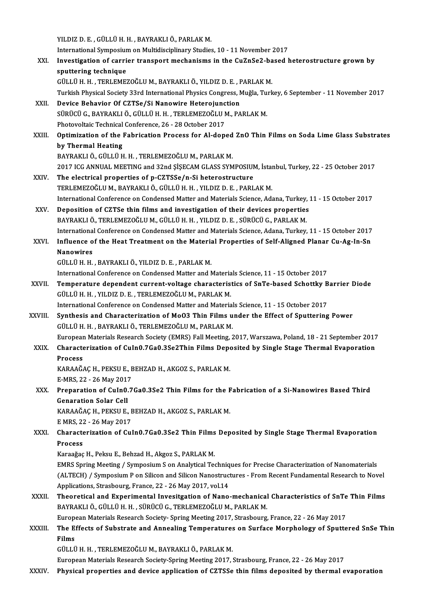YILDIZ D. E., GÜLLÜH.H., BAYRAKLIÖ., PARLAKM.

YILDIZ D. E. , GÜLLÜ H. H. , BAYRAKLI Ö., PARLAK M.<br>International Symposium on Multidisciplinary Studies, 10 - 11 November 2017<br>Investigation of cannier transport meghanisme in the Gu7nSe3 hased l

XXI. Investigation of carrier transport mechanisms in the CuZnSe2-based heterostructure grown by<br>sputtering technique International Symposiur<br>Investigation of carri<br>sputtering technique<br>CÜLLÜHH TEPLEME sputtering technique<br>GÜLLÜ H. H. , TERLEMEZOĞLU M., BAYRAKLI Ö., YILDIZ D. E. , PARLAK M.<br>Turkish Physical Society 33rd International Physics Congress, Muğla, Turkey, 6 September - 11 November 2017<br>Davise Behavier Of GZTSe

GÜLLÜH.H. ,TERLEMEZOĞLUM.,BAYRAKLIÖ.,YILDIZD.E. ,PARLAKM.

- GÜLLÜ H. H. , TERLEMEZOĞLU M., BAYRAKLI Ö., YILDIZ D. E. , F<br>Turkish Physical Society 33rd International Physics Congress, N<br>XXII. Device Behavior Of CZTSe/Si Nanowire Heterojunction<br>Süpücü C. PAYRAKLI Ö. CÜLLÜ H. H. TERLE Turkish Physical Society 33rd International Physics Congress, Muğla, Tu<br>Device Behavior Of CZTSe/Si Nanowire Heterojunction<br>SÜRÜCÜ G., BAYRAKLI Ö., GÜLLÜ H. H. , TERLEMEZOĞLU M., PARLAK M.<br>Photovaltajs Technisal Conference Device Behavior Of CZTSe/Si Nanowire Heterojunction<br>SÜRÜCÜ G., BAYRAKLI Ö., GÜLLÜ H. H. , TERLEMEZOĞLU M., PARLAK M.<br>Photovoltaic Technical Conference, 26 - 28 October 2017
- SÜRÜCÜ G., BAYRAKLI Ö., GÜLLÜ H. H. , TERLEMEZOĞLU M., PARLAK M.<br>Photovoltaic Technical Conference, 26 28 October 2017<br>XXIII. Optimization of the Fabrication Process for Al-doped ZnO Thin Films on Soda Lime Glass Sub Photovoltaic Technical<br>Optimization of the l<br>by Thermal Heating<br>PAVPAKLLÖ CÜLLÜ U Optimization of the Fabrication Process for Al-doped<br>by Thermal Heating<br>BAYRAKLI Ö., GÜLLÜ H. H. , TERLEMEZOĞLU M., PARLAK M.<br>2017 ICC ANNIJAL MEETINC ond 22nd SİSECAM CLASS SYM by Thermal Heating<br>BAYRAKLI Ö., GÜLLÜ H. H. , TERLEMEZOĞLU M., PARLAK M.<br>2017 ICG ANNUAL MEETING and 32nd ŞİŞECAM GLASS SYMPOSIUM, İstanbul, Turkey, 22 - 25 October 2017

- XXIV. The electrical properties of p-CZTSSe/n-Si heterostructure TERLEMEZOĞLUM.,BAYRAKLIÖ.,GÜLLÜH.H. ,YILDIZD.E. ,PARLAKM. The electrical properties of p-CZTSSe/n-Si heterostructure<br>TERLEMEZOĞLU M., BAYRAKLI Ö., GÜLLÜ H. H. , YILDIZ D. E. , PARLAK M.<br>International Conference on Condensed Matter and Materials Science, Adana, Turkey, 11 - 15 Oct
- XXV. Deposition of CZTSe thin films and investigation of their devices properties<br>BAYRAKLI Ö., TERLEMEZOĞLU M., GÜLLÜ H. H., YILDIZ D. E., SÜRÜCÜ G., PARLAK M. International Conference on Condensed Matter and Materials Science, Adana, Turkey,<br>Deposition of CZTSe thin films and investigation of their devices properties<br>BAYRAKLI Ö., TERLEMEZOĞLU M., GÜLLÜ H. H. , YILDIZ D. E. , SÜR International Conference on Condensed Matter and Materials Science, Adana, Turkey, 11 - 15 October 2017 BAYRAKLI Ö., TERLEMEZOĞLU M., GÜLLÜ H. H. , YILDIZ D. E. , SÜRÜCÜ G., PARLAK M.<br>International Conference on Condensed Matter and Materials Science, Adana, Turkey, 11 - 15 October 2017<br>XXVI. Influence of the Heat Treatment
- Internationa<br>I<mark>nfluence o</mark><br>Nanowires<br>Ciu Lü u u Influence of the Heat Treatment on the Materia<br>Nanowires<br>GÜLLÜ H. H. , BAYRAKLI Ö., YILDIZ D. E. , PARLAK M.<br>International Conference on Condensed Matter and N Nanowires<br>GÜLLÜ H. H. , BAYRAKLI Ö., YILDIZ D. E. , PARLAK M.<br>International Conference on Condensed Matter and Materials Science, 11 - 15 October 2017

GÜLLÜ H. H. , BAYRAKLI Ö., YILDIZ D. E. , PARLAK M.<br>International Conference on Condensed Matter and Materials Science, 11 - 15 October 2017<br>XXVII. Temperature dependent current-voltage characteristics of SnTe-based Schott International Conference on Condensed Matter and Materia<br>Temperature dependent current-voltage characteris<br>GÜLLÜ H. H. , YILDIZ D. E. , TERLEMEZOĞLU M., PARLAK M.<br>International Conference on Condensed Matter and Materia Temperature dependent current-voltage characteristics of SnTe-based Schottky B<br>GÜLLÜ H. H., YILDIZ D. E., TERLEMEZOĞLU M., PARLAK M.<br>International Conference on Condensed Matter and Materials Science, 11 - 15 October 2017<br>

International Conference on Condensed Matter and Materials Science, 11 - 15 October 2017

GÜLLÜ H. H. , YILDIZ D. E. , TERLEMEZOĞLU M., PARLAK M.<br>International Conference on Condensed Matter and Materials Science, 11 - 15 October 2017<br>XXVIII. Synthesis and Characterization of MoO3 Thin Films under the Effect of Synthesis and Characterization of MoO3 Thin Films under the Effect of Sputtering Power<br>GÜLLÜ H. H. , BAYRAKLI Ö., TERLEMEZOĞLU M., PARLAK M.<br>European Materials Research Society (EMRS) Fall Meeting, 2017, Warszawa, Poland, GÜLLÜ H. H. , BAYRAKLI Ö., TERLEMEZOĞLU M., PARLAK M.<br>European Materials Research Society (EMRS) Fall Meeting, 2017, Warszawa, Poland, 18 - 21 September 2017<br>XXIX. Characterization of CuIn0.7Ga0.3Se2Thin Films Deposite

## Europear<br>Characte<br>Process<br>KARAAČ Characterization of CuIn0.7Ga0.3Se2Thin Films Deposited by Single Stage Thermal Evaporation<br>Process

KARAAĞAÇ H., PEKSU E., BEHZAD H., AKGOZ S., PARLAK M.

E-MRS, 22 - 26 May 2017

XXX. Preparation of CuIn0.7Ga0.3Se2 Thin Films for the Fabrication of a Si-Nanowires Based Third Preparation of Culn0.7Ga0.3Se2 Thin Films for the F<br>Genaration Solar Cell<br>KARAAĞAÇ H., PEKSU E., BEHZAD H., AKGOZ S., PARLAK M.<br>E MPS 22 - 26 May 2017 **Genaration Solar Cell<br>KARAAĞAÇ H., PEKSU E., E<br>E MRS, 22 - 26 May 2017<br>Charastorization of Cul** 

KARAAĞAÇ H., PEKSU E., BEHZAD H., AKGOZ S., PARLAK M.<br>E MRS, 22 - 26 May 2017<br>XXXI. Characterization of CuIn0.7Ga0.3Se2 Thin Films Deposited by Single Stage Thermal Evaporation<br>RESSOSS E MRS, 22<br>Characte<br>Process Characterization of CuIn0.7Ga0.3Se2 Thin Films<br>Process<br>Karaağaç H., Peksu E., Behzad H., Akgoz S., PARLAK M.<br>EMBS Spring Meeting / Sumnosium S.on Analytical Tea

Process<br>Karaağaç H., Peksu E., Behzad H., Akgoz S., PARLAK M.<br>EMRS Spring Meeting / Symposium S on Analytical Techniques for Precise Characterization of Nanomaterials<br>(ALTECH) / Symposium B on Silison and Silison Nanostrus Karaağaç H., Peksu E., Behzad H., Akgoz S., PARLAK M.<br>EMRS Spring Meeting / Symposium S on Analytical Techniques for Precise Characterization of Nanomaterials<br>(ALTECH) / Symposium P on Silicon and Silicon Nanostructures - EMRS Spring Meeting / Symposium S on Analytical Techniq<br>(ALTECH) / Symposium P on Silicon and Silicon Nanostruc<br>Applications, Strasbourg, France, 22 - 26 May 2017, vol.14<br>Theoratical and Experimental Investigation of Nano (ALTECH) / Symposium P on Silicon and Silicon Nanostructures - From Recent Fundamental Research to Novel<br>Applications, Strasbourg, France, 22 - 26 May 2017, vol.14<br>XXXII. Theoretical and Experimental Invesitgation of Nano-

Applications, Strasbourg, France, 22 - 26 May 2017, vol.14<br>Theoretical and Experimental Invesitgation of Nano-mechanical<br>BAYRAKLI Ö., GÜLLÜ H. H. , SÜRÜCÜ G., TERLEMEZOĞLU M., PARLAK M.<br>European Materials Bessarsh Sesisty, Theoretical and Experimental Invesitgation of Nano-mechanical Characteristics of SnTe<br>BAYRAKLI Ö., GÜLLÜ H. H. , SÜRÜCÜ G., TERLEMEZOĞLU M., PARLAK M.<br>European Materials Research Society- Spring Meeting 2017, Strasbourg, F

BAYRAKLI Ö., GÜLLÜ H. H. , SÜRÜCÜ G., TERLEMEZOĞLU M., PARLAK M.<br>European Materials Research Society- Spring Meeting 2017, Strasbourg, France, 22 - 26 May 2017<br>XXXIII. The Effects of Substrate and Annealing Temperature European Materials Research Society- Spring Meeting 2017, Strasbourg, France, 22 - 26 May 2017<br>The Effects of Substrate and Annealing Temperatures on Surface Morphology of Sputte<br>Films<br>GÜLLÜ H. H. , TERLEMEZOĞLU M., BAYRAK The Effects of Substrate and Annealing Temperatures<br>Films<br>GÜLLÜ H. H. , TERLEMEZOĞLU M., BAYRAKLI Ö., PARLAK M.<br>European Matorials Bessarsk Sosisty Spring Mesting 2017. (

European Materials Research Society-Spring Meeting 2017, Strasbourg, France, 22 - 26 May 2017

XXXIV. Physical properties and device application of CZTSSe thin films deposited by thermal evaporation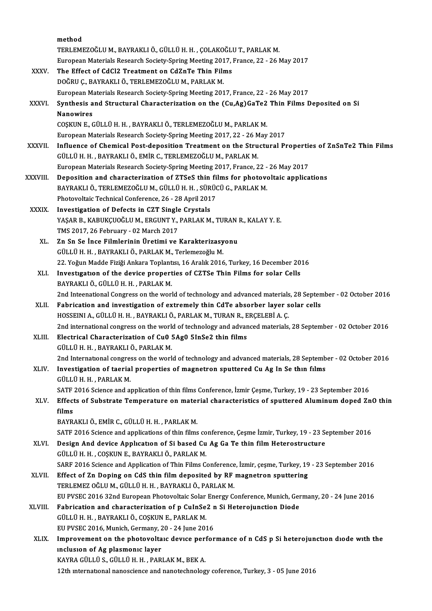|              | method                                                                                                                            |
|--------------|-----------------------------------------------------------------------------------------------------------------------------------|
|              | TERLEMEZOĞLU M., BAYRAKLI Ö., GÜLLÜ H. H., ÇOLAKOĞLU T., PARLAK M.                                                                |
|              | European Materials Research Society-Spring Meeting 2017, France, 22 - 26 May 2017                                                 |
| XXXV.        | The Effect of CdCl2 Treatment on CdZnTe Thin Films                                                                                |
|              | DOĞRU Ç., BAYRAKLI Ö., TERLEMEZOĞLU M., PARLAK M.                                                                                 |
|              | European Materials Research Society-Spring Meeting 2017, France, 22 - 26 May 2017                                                 |
| <b>XXXVI</b> | Synthesis and Structural Characterization on the (Cu,Ag)GaTe2 Thin Films Deposited on Si                                          |
|              | <b>Nanowires</b>                                                                                                                  |
|              | COŞKUN E., GÜLLÜ H. H., BAYRAKLI Ö., TERLEMEZOĞLU M., PARLAK M.                                                                   |
|              | European Materials Research Society-Spring Meeting 2017, 22 - 26 May 2017                                                         |
| XXXVII.      | Influence of Chemical Post-deposition Treatment on the Structural Properties of ZnSnTe2 Thin Films                                |
|              | GÜLLÜ H. H., BAYRAKLI Ö., EMİR C., TERLEMEZOĞLU M., PARLAK M.                                                                     |
|              | European Materials Research Society-Spring Meeting 2017, France, 22 - 26 May 2017                                                 |
| XXXVIII.     | Deposition and characterization of ZTSeS thin films for photovoltaic applications                                                 |
|              | BAYRAKLI Ö., TERLEMEZOĞLU M., GÜLLÜ H. H., SÜRÜCÜ G., PARLAK M.                                                                   |
|              | Photovoltaic Technical Conference, 26 - 28 April 2017                                                                             |
| <b>XXXIX</b> | Investigation of Defects in CZT Single Crystals<br>YAŞAR B., KABUKÇUOĞLU M., ERGUNT Y., PARLAK M., TURAN R., KALAY Y. E.          |
|              | TMS 2017, 26 February - 02 March 2017                                                                                             |
| XL.          | Zn Sn Se İnce Filmlerinin Üretimi ve Karakterizasyonu                                                                             |
|              | GÜLLÜ H. H., BAYRAKLI Ö., PARLAK M., Terlemezoğlu M.                                                                              |
|              | 22. Yoğun Madde Fiziği Ankara Toplantısı, 16 Aralık 2016, Turkey, 16 December 2016                                                |
| XLI.         | Investigation of the device properties of CZTSe Thin Films for solar Cells                                                        |
|              | BAYRAKLI Ö., GÜLLÜ H. H., PARLAK M.                                                                                               |
|              | 2nd Inteenational Congress on the world of technology and advanced materials, 28 September - 02 October 2016                      |
| XLII.        | Fabrication and investigation of extremely thin CdTe absorber layer solar cells                                                   |
|              | HOSSEINI A., GÜLLÜ H. H., BAYRAKLI Ö., PARLAK M., TURAN R., ERÇELEBİ A. Ç.                                                        |
|              | 2nd international congress on the world of technology and advanced materials, 28 September - 02 October 2016                      |
| XLIII.       | Electrical Characterization of Cu0 5Ag0 5InSe2 thin films                                                                         |
|              | GÜLLÜ H. H. , BAYRAKLI Ö., PARLAK M.                                                                                              |
|              | 2nd International congress on the world of technology and advanced materials, 28 September - 02 October 2016                      |
| XLIV.        | Investigation of taerial properties of magnetron sputtered Cu Ag In Se thin films                                                 |
|              | GÜLLÜ H. H., PARLAK M.<br>SATF 2016 Science and application of thin films Conference, İzmir Çeşme, Turkey, 19 - 23 September 2016 |
| XLV.         | Effects of Substrate Temperature on material characteristics of sputtered Aluminum doped ZnO thin                                 |
|              | films                                                                                                                             |
|              | BAYRAKLI Ö., EMİR C., GÜLLÜ H. H., PARLAK M.                                                                                      |
|              | SATF 2016 Science and applications of thin films conference, Çeşme İzmir, Turkey, 19 - 23 September 2016                          |
| XLVI.        | Design And device Application of Si based Cu Ag Ga Te thin film Heterostructure                                                   |
|              | GÜLLÜ H. H., COŞKUN E., BAYRAKLI Ö., PARLAK M.                                                                                    |
|              | SARF 2016 Science and Application of Thin Films Conference, İzmir, çeşme, Turkey, 19 - 23 September 2016                          |
| XLVII.       | Effect of Zn Doping on CdS thin film deposited by RF magnetron sputtering                                                         |
|              | TERLEMEZ OĞLU M., GÜLLÜ H. H., BAYRAKLI Ö., PARLAK M.                                                                             |
|              | EU PVSEC 2016 32nd European Photovoltaic Solar Energy Conference, Munich, Germany, 20 - 24 June 2016                              |
| XLVIII.      | Fabrication and characterization of p CuInSe2 n Si Heterojunction Diode                                                           |
|              | GÜLLÜ H. H., BAYRAKLI Ö., COŞKUN E., PARLAK M.                                                                                    |
|              | EU PVSEC 2016, Munich, Germany, 20 - 24 June 2016                                                                                 |
| XLIX.        | Improvement on the photovoltaic device performance of n CdS p Si heterojunction diode with the                                    |
|              | inclusion of Ag plasmonic layer<br>KAYRA GÜLLÜ S., GÜLLÜ H. H., PARLAK M., BEK A.                                                 |
|              | 12th international nanoscience and nanotechnology coference, Turkey, 3 - 05 June 2016                                             |
|              |                                                                                                                                   |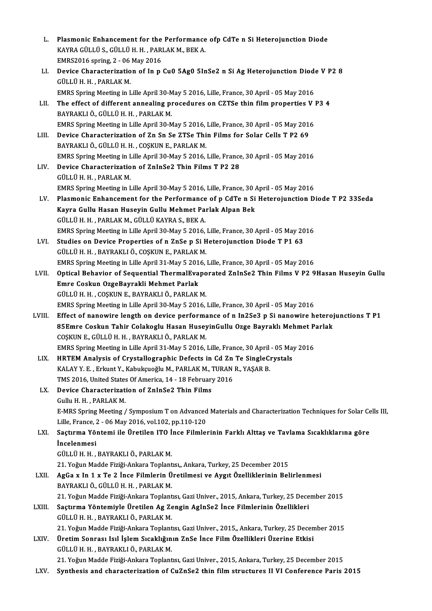| L.     | Plasmonic Enhancement for the Performance ofp CdTe n Si Heterojunction Diode                                  |
|--------|---------------------------------------------------------------------------------------------------------------|
|        | KAYRA GÜLLÜ S., GÜLLÜ H. H., PARLAK M., BEK A.                                                                |
|        | EMRS2016 spring, 2 - 06 May 2016                                                                              |
| LI.    | Device Characterization of In p Cu0 5Ag0 5InSe2 n Si Ag Heterojunction Diode V P2 8                           |
|        | GÜLLÜ H. H., PARLAK M.                                                                                        |
|        | EMRS Spring Meeting in Lille April 30-May 5 2016, Lille, France, 30 April - 05 May 2016                       |
| LII.   | The effect of different annealing procedures on CZTSe thin film properties V P3 4                             |
|        | BAYRAKLI Ö., GÜLLÜ H. H., PARLAK M.                                                                           |
|        | EMRS Spring Meeting in Lille April 30-May 5 2016, Lille, France, 30 April - 05 May 2016                       |
| LIII.  | Device Characterization of Zn Sn Se ZTSe Thin Films for Solar Cells T P2 69                                   |
|        | BAYRAKLI Ö., GÜLLÜ H. H., COŞKUN E., PARLAK M.                                                                |
|        | EMRS Spring Meeting in Lille April 30-May 5 2016, Lille, France, 30 April - 05 May 2016                       |
| LIV.   | Device Characterization of ZnInSe2 Thin Films T P2 28                                                         |
|        | GÜLLÜ H. H., PARLAK M.                                                                                        |
|        | EMRS Spring Meeting in Lille April 30-May 5 2016, Lille, France, 30 April - 05 May 2016                       |
| LV.    | Plasmonic Enhancement for the Performance of p CdTe n Si Heterojunction Diode T P2 33Seda                     |
|        | Kayra Gullu Hasan Huseyin Gullu Mehmet Parlak Alpan Bek                                                       |
|        | GÜLLÜ H.H., PARLAK M., GÜLLÜ KAYRA S., BEK A.                                                                 |
|        | EMRS Spring Meeting in Lille April 30-May 5 2016, Lille, France, 30 April - 05 May 2016                       |
| LVI.   | Studies on Device Properties of n ZnSe p Si Heterojunction Diode T P1 63                                      |
|        | GÜLLÜ H. H., BAYRAKLI Ö., COŞKUN E., PARLAK M.                                                                |
|        | EMRS Spring Meeting in Lille April 31-May 5 2016, Lille, France, 30 April - 05 May 2016                       |
| LVII.  | Optical Behavior of Sequential ThermalEvaporated ZnInSe2 Thin Films V P2 9Hasan Huseyin Gullu                 |
|        | Emre Coskun OzgeBayrakli Mehmet Parlak                                                                        |
|        | GÜLLÜ H. H., COŞKUN E., BAYRAKLI Ö., PARLAK M.                                                                |
|        | EMRS Spring Meeting in Lille April 30-May 5 2016, Lille, France, 30 April - 05 May 2016                       |
| LVIII. | Effect of nanowire length on device performance of n In2Se3 p Si nanowire heterojunctions T P1                |
|        | 85Emre Coskun Tahir Colakoglu Hasan HuseyinGullu Ozge Bayraklı Mehmet Parlak                                  |
|        | COŞKUN E., GÜLLÜ H. H., BAYRAKLI Ö., PARLAK M.                                                                |
|        | EMRS Spring Meeting in Lille April 31-May 5 2016, Lille, France, 30 April - 05 May 2016                       |
| LIX.   | HRTEM Analysis of Crystallographic Defects in Cd Zn Te SingleCrystals                                         |
|        | KALAY Y. E., Erkunt Y., Kabukçuoğlu M., PARLAK M., TURAN R., YAŞAR B.                                         |
|        | TMS 2016, United States Of America, 14 - 18 February 2016                                                     |
| LX.    | Device Characterization of ZnInSe2 Thin Films                                                                 |
|        | Gullu H. H., PARLAK M.                                                                                        |
|        | E-MRS Spring Meeting / Symposium T on Advanced Materials and Characterization Techniques for Solar Cells III, |
|        | Lille, France, 2 - 06 May 2016, vol.102, pp.110-120                                                           |
| LXI.   | Saçtırma Yöntemi ile Üretilen ITO İnce Filmlerinin Farklı Alttaş ve Tavlama Sıcaklıklarına göre               |
|        | <i>incelenmesi</i>                                                                                            |
|        | GÜLLÜ H. H., BAYRAKLI Ö., PARLAK M.                                                                           |
|        | 21. Yoğun Madde Fiziği-Ankara Toplantısı,, Ankara, Turkey, 25 December 2015                                   |
| LXII.  | AgGa x In 1 x Te 2 İnce Filmlerin Üretilmesi ve Aygıt Özelliklerinin Belirlenmesi                             |
|        | BAYRAKLI Ö., GÜLLÜ H. H., PARLAK M.                                                                           |
|        | 21. Yoğun Madde Fiziği-Ankara Toplantısı, Gazi Univer., 2015, Ankara, Turkey, 25 December 2015                |
| LXIII. | Saçtırma Yöntemiyle Üretilen Ag Zengin AgInSe2 İnce Filmlerinin Özellikleri                                   |
|        | GÜLLÜ H. H., BAYRAKLI Ö., PARLAK M.                                                                           |
|        | 21. Yoğun Madde Fiziği-Ankara Toplantısı, Gazi Univer., 2015,, Ankara, Turkey, 25 December 2015               |
| LXIV.  | Üretim Sonrası Isıl İşlem Sıcaklığının ZnSe İnce Film Özellikleri Üzerine Etkisi                              |
|        | GÜLLÜ H. H., BAYRAKLI Ö., PARLAK M.                                                                           |
|        | 21. Yoğun Madde Fiziği-Ankara Toplantısı, Gazi Univer., 2015, Ankara, Turkey, 25 December 2015                |
| LXV.   | Synthesis and characterization of CuZnSe2 thin film structures II VI Conference Paris 2015                    |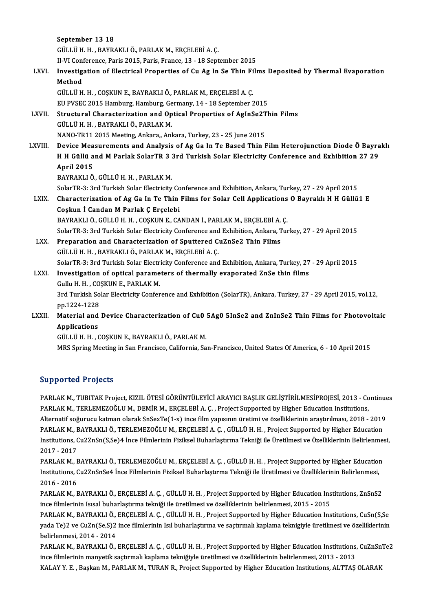September 13 18 GÜLLÜH.H. ,BAYRAKLIÖ.,PARLAKM.,ERÇELEBİA.Ç. II-VI Conference, Paris 2015, Paris, France, 13 - 18 September 2015 GÜLLÜ H. H. , BAYRAKLI Ö., PARLAK M., ERÇELEBİ A. Ç.<br>II-VI Conference, Paris 2015, Paris, France, 13 - 18 September 2015<br>LXVI. Investigation of Electrical Properties of Cu Ag In Se Thin Films Deposited by Thermal Evapo II-VI Con<mark>t</mark><br>Investig<br>Method<br>CÜLLÜ H Investigation of Electrical Properties of Cu Ag In Se Thin Fi<br>Method<br>GÜLLÜ H. H. , COŞKUN E., BAYRAKLI Ö., PARLAK M., ERÇELEBİ A. Ç.<br>FU BVSEC 2015 Hamburg Hamburg Carmany, 14, 19 Santambar 2 Method<br>GÜLLÜ H. H. , COŞKUN E., BAYRAKLI Ö., PARLAK M., ERÇELEBİ A. Ç.<br>EU PVSEC 2015 Hamburg, Hamburg, Germany, 14 - 18 September 2015<br>Structural Charasterization and Ontical Properties of AsInSe<sup>2</sup>Th LXVII. Structural Characterization and Optical Properties of AgInSe2Thin Films<br>GÜLLÜ H. H., BAYRAKLI Ö., PARLAK M. EU PVSEC 2015 Hamburg, Hamburg, Germany, 14 - 18 September 2015 NANO-TR11 2015 Meeting, Ankara, Ankara, Turkey, 23 - 25 June 2015 GÜLLÜ H. H. , BAYRAKLI Ö., PARLAK M.<br>NANO-TR11 2015 Meeting, Ankara, Ankara, Turkey, 23 - 25 June 2015<br>LXVIII. Device Measurements and Analysis of Ag Ga In Te Based Thin Film Heterojunction Diode Ö Bayraklı<br>H H Güllü and M NANO-TR11 2015 Meeting, Ankara,, Ankara, Turkey, 23 - 25 June 2015<br>Device Measurements and Analysis of Ag Ga In Te Based Thin Film Heterojunction Diode Ö Bayra<br>H H Güllü and M Parlak SolarTR 3 3rd Turkish Solar Electricity Device Mea<br>H H Güllü a<br>April 2015<br>BAVBAKLLÖ H H Güllü and M Parlak SolarTR 3 3rd Turkish Solar Electricity Conference and Exhibition 27 29<br>April 2015<br>BAYRAKLI Ö., GÜLLÜ H. H. , PARLAK M. April 2015<br>BAYRAKLI Ö., GÜLLÜ H. H. , PARLAK M.<br>SolarTR-3: 3rd Turkish Solar Electricity Conference and Exhibition, Ankara, Turkey, 27 - 29 April 2015<br>Characterization of Ag Ca In Te Thin Eilms for Solar Call Annliastions BAYRAKLI Ö., GÜLLÜ H. H. , PARLAK M.<br>SolarTR-3: 3rd Turkish Solar Electricity Conference and Exhibition, Ankara, Turkey, 27 - 29 April 2015<br>LXIX. Characterization of Ag Ga In Te Thin Films for Solar Cell Applications O SolarTR-3: 3rd Turkish Solar Electricity Co<br>Characterization of Ag Ga In Te Thin<br>Coşkun İ Candan M Parlak Ç Erçelebi<br>PAYPAKUĞ CÜLLÜ H H COSKUN E CA Characterization of Ag Ga In Te Thin Films for Solar Cell Applications<br>Coşkun İ Candan M Parlak Ç Erçelebi<br>BAYRAKLI Ö., GÜLLÜ H. H. , COŞKUN E., CANDAN İ., PARLAK M., ERÇELEBİ A. Ç.<br>SelerTP 2: 2rd Turkish Seler Electricity Coşkun İ Candan M Parlak Ç Erçelebi<br>BAYRAKLI Ö., GÜLLÜ H. H. , COŞKUN E., CANDAN İ., PARLAK M., ERÇELEBİ A. Ç.<br>SolarTR-3: 3rd Turkish Solar Electricity Conference and Exhibition, Ankara, Turkey, 27 - 29 April 2015 BAYRAKLI Ö., GÜLLÜ H. H. , COȘKUN E., CANDAN İ., PARLAK M., ERÇELEBİ A.<br>SolarTR-3: 3rd Turkish Solar Electricity Conference and Exhibition, Ankara, T<br>LXX. Preparation and Characterization of Sputtered CuZnSe2 Thin Films<br>CÜ SolarTR-3: 3rd Turkish Solar Electricity Conference and<br>Preparation and Characterization of Sputtered C<br>GÜLLÜ H. H. , BAYRAKLI Ö., PARLAK M., ERÇELEBİA. Ç.<br>SolarTP 3: 3rd Turkish Solar Electricity Conference and GÜLLÜ H. H. , BAYRAKLI Ö., PARLAK M., ERÇELEBİ A. Ç.<br>SolarTR-3: 3rd Turkish Solar Electricity Conference and Exhibition, Ankara, Turkey, 27 - 29 April 2015 GÜLLÜ H. H. , BAYRAKLI Ö., PARLAK M., ERÇELEBİ A. Ç.<br>SolarTR-3: 3rd Turkish Solar Electricity Conference and Exhibition, Ankara, Turkey, 27<br>LXXI. Investigation of optical parameters of thermally evaporated ZnSe thin films<br> SolarTR-3: 3rd Turkish Solar Electr<br>Investigation of optical parame<br>Gullu H. H. , COŞKUN E., PARLAK M.<br><sup>2rd Turkish Solar Electricity Confor</sup> 3rdTurestigation of optical parameters of thermally evaporated ZnSe thin films<br>3rd Turkish Solar Electricity Conference and Exhibition (SolarTR), Ankara, Turkey, 27 - 29 April 2015, vol.12,<br>nn 1334 1338 Gullu H. H. , CO<br>3rd Turkish So<br>pp.1224-1228<br>Material and 3rd Turkish Solar Electricity Conference and Exhibition (SolarTR), Ankara, Turkey, 27 - 29 April 2015, vol.12,<br>pp.1224-1228<br>LXXII. Material and Device Characterization of Cu0 5Ag0 5InSe2 and ZnInSe2 Thin Films for Photovol pp.1224-1228<br>Material and<br>Applications<br>Cüttürun Material and Device Characterization of Cu0<br>Applications<br>GÜLLÜ H. H. , COŞKUN E., BAYRAKLI Ö., PARLAK M.<br>MPS Saring Mosting in San Francisco Colifornia Sa Applications<br>GÜLLÜ H. H. , COŞKUN E., BAYRAKLI Ö., PARLAK M.<br>MRS Spring Meeting in San Francisco, California, San-Francisco, United States Of America, 6 - 10 April 2015

### Supported Projects

PARLAKM.,TUBITAK Project, KIZIL ÖTESİ GÖRÜNTÜLEYİCİ ARAYICI BAŞLIK GELİŞTİRİLMESİPROJESİ, 2013 - Continues BARLAK M., TUBITAK Project, KIZIL ÖTESİ GÖRÜNTÜLEYİCİ ARAYICI BAŞLIK GELİŞTİRİLMESİPROJESİ, 2013 - Co<br>PARLAK M., TERLEMEZOĞLU M., DEMİR M., ERÇELEBİ A. Ç. , Project Supported by Higher Education Institutions,<br>Alternatif so PARLAK M., TUBITAK Project, KIZIL ÖTESİ GÖRÜNTÜLEYİCİ ARAYICI BAŞLIK GELİŞTİRİLMESİPROJESİ, 2013 - Continue<br>PARLAK M., TERLEMEZOĞLU M., DEMİR M., ERÇELEBİ A. Ç. , Project Supported by Higher Education Institutions,<br>Alterna PARLAK M., TERLEMEZOĞLU M., DEMİR M., ERÇELEBİ A. Ç. , Project Supported by Higher Education Institutions,<br>Alternatif soğurucu katman olarak SnSexTe(1-x) ince film yapısının üretimi ve özelliklerinin araştırılması, 2018 - Alternatif soğurucu katman olarak SnSexTe(1-x) ince film yapısının üretimi ve özelliklerinin araştırılması, 2018 - 2019<br>PARLAK M., BAYRAKLI Ö., TERLEMEZOĞLU M., ERÇELEBİ A. Ç. , GÜLLÜ H. H. , Project Supported by Higher Ed PARLAK M., F<br>Institutions, C<br>2017 - 2017<br>PAPLAK M. F Institutions, Cu2ZnSn(S,Se)4 İnce Filmlerinin Fiziksel Buharlaştırma Tekniği ile Üretilmesi ve Özelliklerinin Belirlenme:<br>2017 - 2017<br>PARLAK M., BAYRAKLI Ö., TERLEMEZOĞLU M., ERÇELEBİ A. Ç. , GÜLLÜ H. H. , Project Supporte

2017 - 2017<br>PARLAK M., BAYRAKLI Ö., TERLEMEZOĞLU M., ERÇELEBİ A. Ç. , GÜLLÜ H. H. , Project Supported by Higher Educatioı<br>Institutions, Cu2ZnSnSe4 İnce Filmlerinin Fiziksel Buharlaştırma Tekniği ile Üretilmesi ve Özellikle PARLAK M., F<br>Institutions, C<br>2016 - 2016<br>PARLAK M. F Institutions, Cu2ZnSnSe4 İnce Filmlerinin Fiziksel Buharlaştırma Tekniği ile Üretilmesi ve Özelliklerinin Belirlenmesi,<br>2016 - 2016<br>PARLAK M., BAYRAKLI Ö., ERÇELEBİ A. Ç. , GÜLLÜ H. H. , Project Supported by Higher Educati

2016 - 2016<br>PARLAK M., BAYRAKLI Ö., ERÇELEBİ A. Ç. , GÜLLÜ H. H. , Project Supported by Higher Education Ins<br>ince filmlerinin Isısal buharlaştırma tekniği ile üretilmesi ve özelliklerinin belirlenmesi, 2015 - 2015<br>PARLAK M PARLAK M., BAYRAKLI Ö., ERÇELEBİ A. Ç. , GÜLLÜ H. H. , Project Supported by Higher Education Institutions, ZnSnS2<br>ince filmlerinin Isısal buharlaştırma tekniği ile üretilmesi ve özelliklerinin belirlenmesi, 2015 - 2015<br>PAR

ince filmlerinin Isısal buharlaştırma tekniği ile üretilmesi ve özelliklerinin belirlenmesi, 2015 - 2015<br>PARLAK M., BAYRAKLI Ö., ERÇELEBİ A. Ç. , GÜLLÜ H. H. , Project Supported by Higher Education Institutions, CuSn(S,Se<br> PARLAK M., BAYRAKLI Ö.,<br>yada Te)2 ve CuZn(Se,S)2<br>belirlenmesi, 2014 - 2014<br>BARLAK M., BAYBAKLI Ö. yada Te)2 ve CuZn(Se,S)2 ince filmlerinin Isıl buharlaştırma ve saçtırmalı kaplama teknigiyle üretilmesi ve özelliklerinin<br>belirlenmesi, 2014 - 2014<br>PARLAK M., BAYRAKLI Ö., ERÇELEBİ A. Ç. , GÜLLÜ H. H. , Project Supported

belirlenmesi, 2014 - 2014<br>PARLAK M., BAYRAKLI Ö., ERÇELEBİ A. Ç. , GÜLLÜ H. H. , Project Supported by Higher Education Institutions,<br>ince filmlerinin manyetik saçtırmalı kaplama tekniğiyle üretilmesi ve özelliklerinin beli PARLAK M., BAYRAKLI Ö., ERÇELEBİ A. Ç. , GÜLLÜ H. H. , Project Supported by Higher Education Institutions, CuZnSn<br>ince filmlerinin manyetik saçtırmalı kaplama tekniğiyle üretilmesi ve özelliklerinin belirlenmesi, 2013 - 20